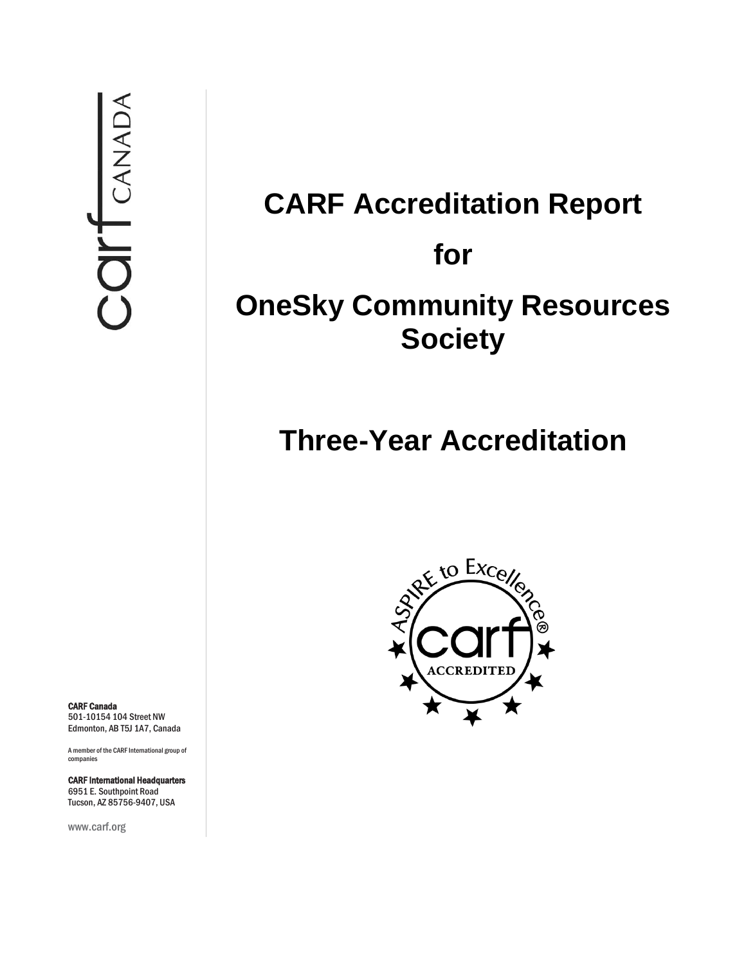# **CARF Accreditation Report for OneSky Community Resources Society**

# **Three-Year Accreditation**



CARF Canada 501-10154 104 Street NW Edmonton, AB T5J 1A7, Canada

A member of the CARF International group of companies

CARF International Headquarters 6951 E. Southpoint Road Tucson, AZ 85756-9407, USA

www.carf.org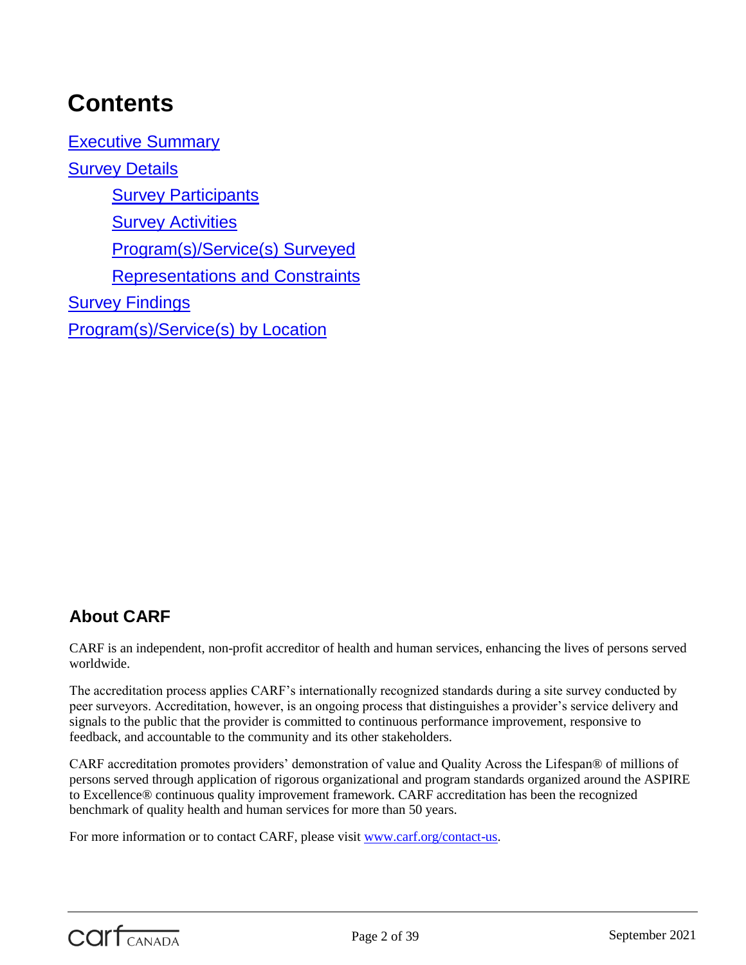# **Contents**

[Executive Summary](#page-3-0) [Survey Details](#page-4-0) **[Survey Participants](#page-4-1) [Survey Activities](#page-5-0)** [Program\(s\)/Service\(s\) Surveyed](#page-5-1) [Representations and Constraints](#page-6-0) **[Survey Findings](#page-6-1)** [Program\(s\)/Service\(s\) by Location](#page-37-0)

# **About CARF**

CARF is an independent, non-profit accreditor of health and human services, enhancing the lives of persons served worldwide.

The accreditation process applies CARF's internationally recognized standards during a site survey conducted by peer surveyors. Accreditation, however, is an ongoing process that distinguishes a provider's service delivery and signals to the public that the provider is committed to continuous performance improvement, responsive to feedback, and accountable to the community and its other stakeholders.

CARF accreditation promotes providers' demonstration of value and Quality Across the Lifespan® of millions of persons served through application of rigorous organizational and program standards organized around the ASPIRE to Excellence® continuous quality improvement framework. CARF accreditation has been the recognized benchmark of quality health and human services for more than 50 years.

For more information or to contact CARF, please visit [www.carf.org/contact-us.](http://www.carf.org/contact-us)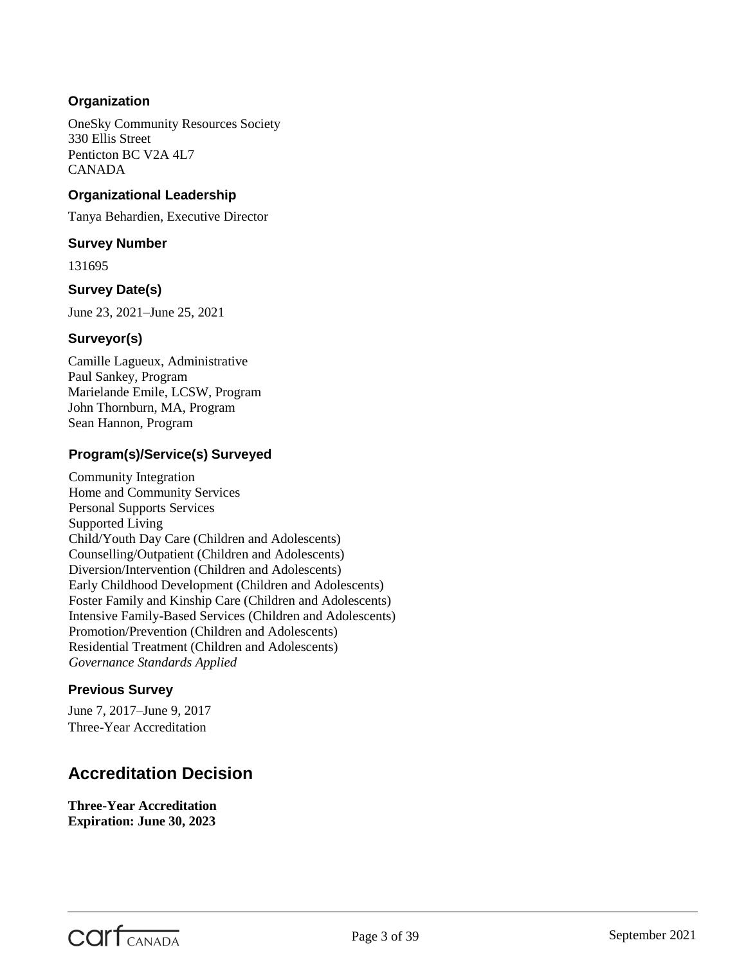# **Organization**

OneSky Community Resources Society 330 Ellis Street Penticton BC V2A 4L7 CANADA

# **Organizational Leadership**

Tanya Behardien, Executive Director

#### **Survey Number**

131695

# **Survey Date(s)**

June 23, 2021–June 25, 2021

# **Surveyor(s)**

Camille Lagueux, Administrative Paul Sankey, Program Marielande Emile, LCSW, Program John Thornburn, MA, Program Sean Hannon, Program

# **Program(s)/Service(s) Surveyed**

Community Integration Home and Community Services Personal Supports Services Supported Living Child/Youth Day Care (Children and Adolescents) Counselling/Outpatient (Children and Adolescents) Diversion/Intervention (Children and Adolescents) Early Childhood Development (Children and Adolescents) Foster Family and Kinship Care (Children and Adolescents) Intensive Family-Based Services (Children and Adolescents) Promotion/Prevention (Children and Adolescents) Residential Treatment (Children and Adolescents) *Governance Standards Applied*

# **Previous Survey**

June 7, 2017–June 9, 2017 Three-Year Accreditation

# **Accreditation Decision**

**Three-Year Accreditation Expiration: June 30, 2023**

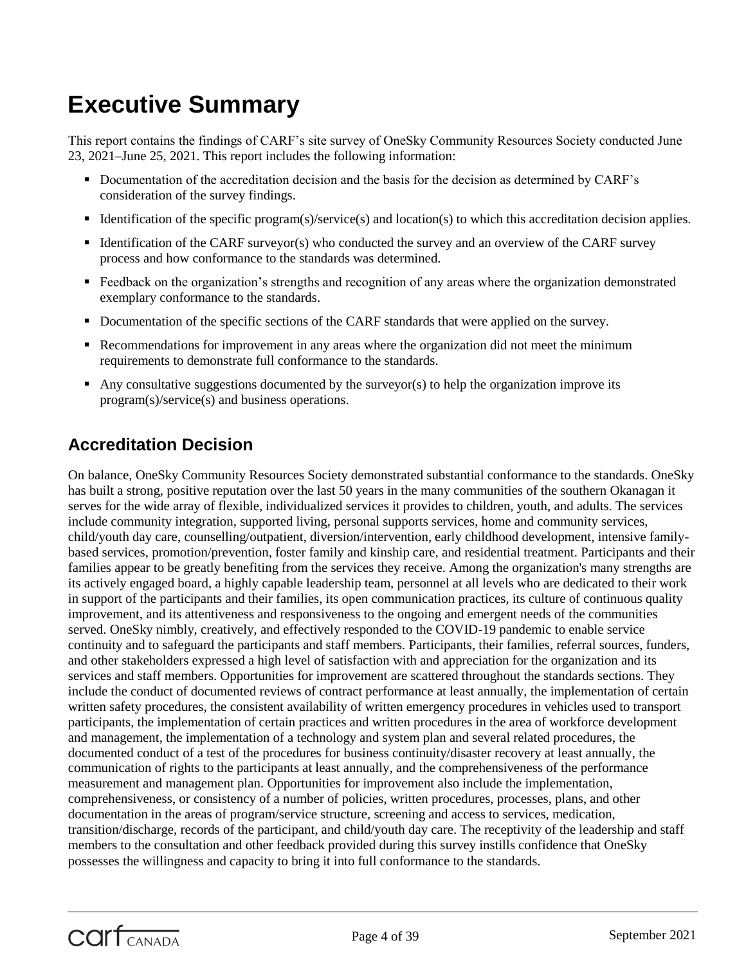# <span id="page-3-0"></span>**Executive Summary**

This report contains the findings of CARF's site survey of OneSky Community Resources Society conducted June 23, 2021–June 25, 2021. This report includes the following information:

- Documentation of the accreditation decision and the basis for the decision as determined by CARF's consideration of the survey findings.
- Identification of the specific program(s)/service(s) and location(s) to which this accreditation decision applies.
- Identification of the CARF surveyor(s) who conducted the survey and an overview of the CARF survey process and how conformance to the standards was determined.
- **Feedback on the organization's strengths and recognition of any areas where the organization demonstrated** exemplary conformance to the standards.
- Documentation of the specific sections of the CARF standards that were applied on the survey.
- Recommendations for improvement in any areas where the organization did not meet the minimum requirements to demonstrate full conformance to the standards.
- Any consultative suggestions documented by the surveyor(s) to help the organization improve its program(s)/service(s) and business operations.

# **Accreditation Decision**

On balance, OneSky Community Resources Society demonstrated substantial conformance to the standards. OneSky has built a strong, positive reputation over the last 50 years in the many communities of the southern Okanagan it serves for the wide array of flexible, individualized services it provides to children, youth, and adults. The services include community integration, supported living, personal supports services, home and community services, child/youth day care, counselling/outpatient, diversion/intervention, early childhood development, intensive familybased services, promotion/prevention, foster family and kinship care, and residential treatment. Participants and their families appear to be greatly benefiting from the services they receive. Among the organization's many strengths are its actively engaged board, a highly capable leadership team, personnel at all levels who are dedicated to their work in support of the participants and their families, its open communication practices, its culture of continuous quality improvement, and its attentiveness and responsiveness to the ongoing and emergent needs of the communities served. OneSky nimbly, creatively, and effectively responded to the COVID-19 pandemic to enable service continuity and to safeguard the participants and staff members. Participants, their families, referral sources, funders, and other stakeholders expressed a high level of satisfaction with and appreciation for the organization and its services and staff members. Opportunities for improvement are scattered throughout the standards sections. They include the conduct of documented reviews of contract performance at least annually, the implementation of certain written safety procedures, the consistent availability of written emergency procedures in vehicles used to transport participants, the implementation of certain practices and written procedures in the area of workforce development and management, the implementation of a technology and system plan and several related procedures, the documented conduct of a test of the procedures for business continuity/disaster recovery at least annually, the communication of rights to the participants at least annually, and the comprehensiveness of the performance measurement and management plan. Opportunities for improvement also include the implementation, comprehensiveness, or consistency of a number of policies, written procedures, processes, plans, and other documentation in the areas of program/service structure, screening and access to services, medication, transition/discharge, records of the participant, and child/youth day care. The receptivity of the leadership and staff members to the consultation and other feedback provided during this survey instills confidence that OneSky possesses the willingness and capacity to bring it into full conformance to the standards.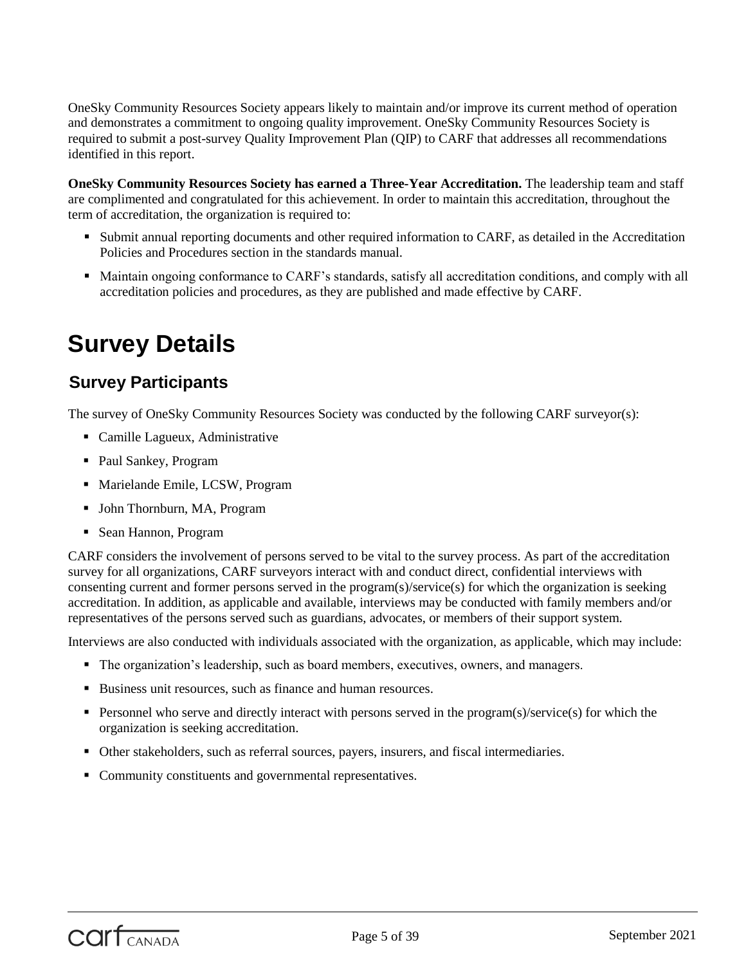OneSky Community Resources Society appears likely to maintain and/or improve its current method of operation and demonstrates a commitment to ongoing quality improvement. OneSky Community Resources Society is required to submit a post-survey Quality Improvement Plan (QIP) to CARF that addresses all recommendations identified in this report.

**OneSky Community Resources Society has earned a Three-Year Accreditation.** The leadership team and staff are complimented and congratulated for this achievement. In order to maintain this accreditation, throughout the term of accreditation, the organization is required to:

- Submit annual reporting documents and other required information to CARF, as detailed in the Accreditation Policies and Procedures section in the standards manual.
- Maintain ongoing conformance to CARF's standards, satisfy all accreditation conditions, and comply with all accreditation policies and procedures, as they are published and made effective by CARF.

# <span id="page-4-0"></span>**Survey Details**

# <span id="page-4-1"></span>**Survey Participants**

The survey of OneSky Community Resources Society was conducted by the following CARF surveyor(s):

- Camille Lagueux, Administrative
- Paul Sankey, Program
- Marielande Emile, LCSW, Program
- John Thornburn, MA, Program
- Sean Hannon, Program

CARF considers the involvement of persons served to be vital to the survey process. As part of the accreditation survey for all organizations, CARF surveyors interact with and conduct direct, confidential interviews with consenting current and former persons served in the program(s)/service(s) for which the organization is seeking accreditation. In addition, as applicable and available, interviews may be conducted with family members and/or representatives of the persons served such as guardians, advocates, or members of their support system.

Interviews are also conducted with individuals associated with the organization, as applicable, which may include:

- The organization's leadership, such as board members, executives, owners, and managers.
- Business unit resources, such as finance and human resources.
- **Personnel who serve and directly interact with persons served in the program(s)/service(s) for which the** organization is seeking accreditation.
- Other stakeholders, such as referral sources, payers, insurers, and fiscal intermediaries.
- Community constituents and governmental representatives.

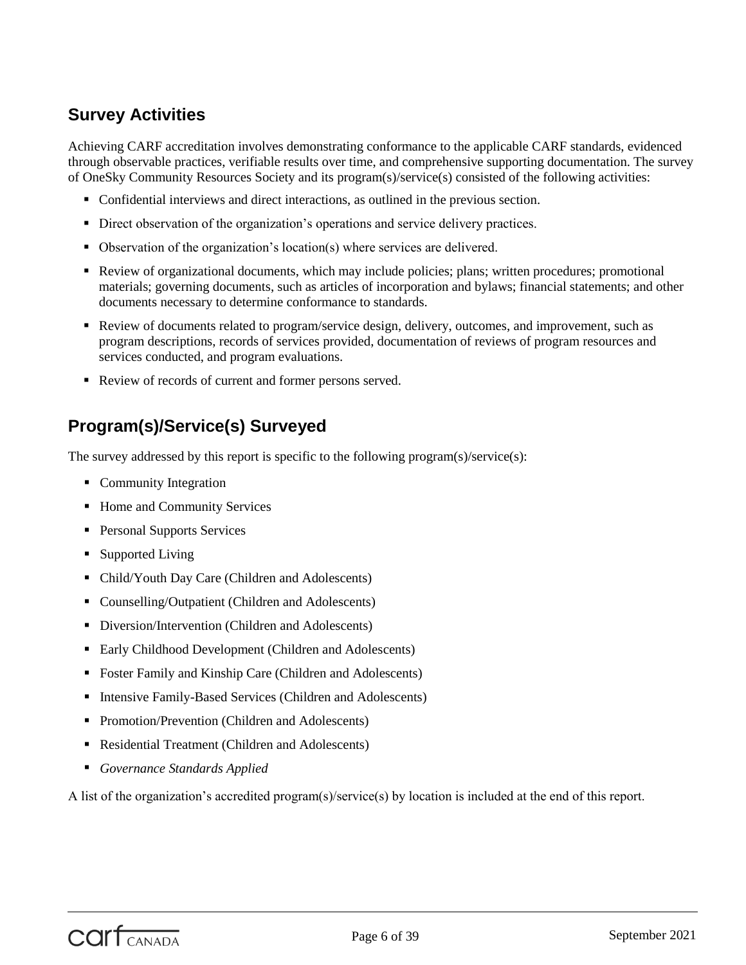# <span id="page-5-0"></span>**Survey Activities**

Achieving CARF accreditation involves demonstrating conformance to the applicable CARF standards, evidenced through observable practices, verifiable results over time, and comprehensive supporting documentation. The survey of OneSky Community Resources Society and its program(s)/service(s) consisted of the following activities:

- Confidential interviews and direct interactions, as outlined in the previous section.
- Direct observation of the organization's operations and service delivery practices.
- Observation of the organization's location(s) where services are delivered.
- Review of organizational documents, which may include policies; plans; written procedures; promotional materials; governing documents, such as articles of incorporation and bylaws; financial statements; and other documents necessary to determine conformance to standards.
- Review of documents related to program/service design, delivery, outcomes, and improvement, such as program descriptions, records of services provided, documentation of reviews of program resources and services conducted, and program evaluations.
- Review of records of current and former persons served.

# <span id="page-5-1"></span>**Program(s)/Service(s) Surveyed**

The survey addressed by this report is specific to the following program(s)/service(s):

- Community Integration
- Home and Community Services
- Personal Supports Services
- Supported Living
- Child/Youth Day Care (Children and Adolescents)
- Counselling/Outpatient (Children and Adolescents)
- Diversion/Intervention (Children and Adolescents)
- Early Childhood Development (Children and Adolescents)
- Foster Family and Kinship Care (Children and Adolescents)
- Intensive Family-Based Services (Children and Adolescents)
- Promotion/Prevention (Children and Adolescents)
- Residential Treatment (Children and Adolescents)
- *Governance Standards Applied*

A list of the organization's accredited program(s)/service(s) by location is included at the end of this report.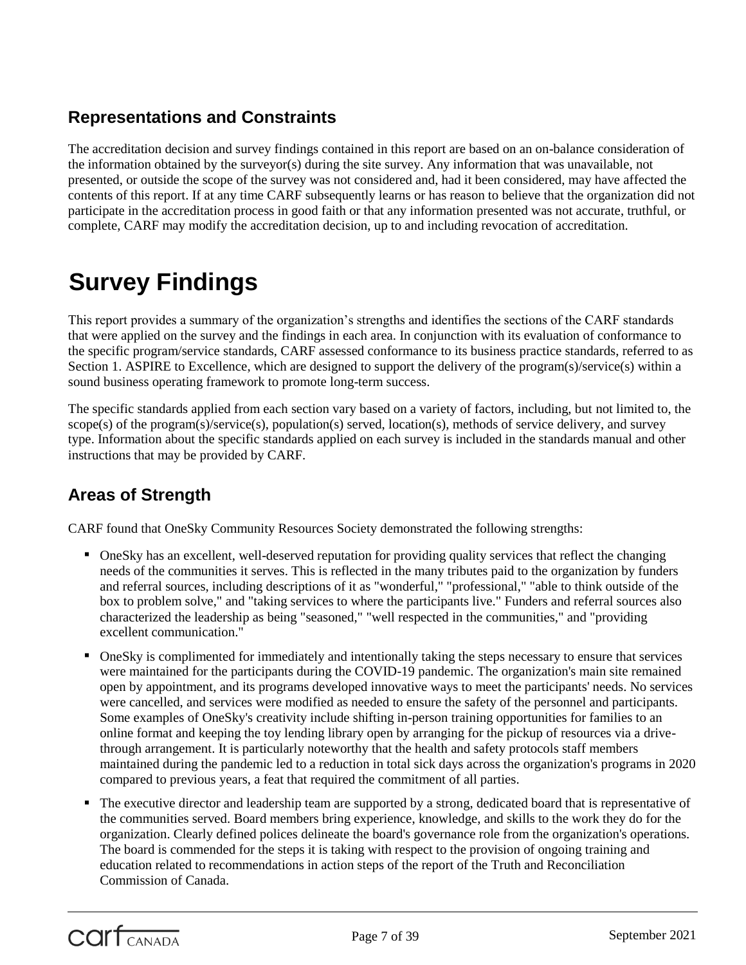# <span id="page-6-0"></span>**Representations and Constraints**

The accreditation decision and survey findings contained in this report are based on an on-balance consideration of the information obtained by the surveyor(s) during the site survey. Any information that was unavailable, not presented, or outside the scope of the survey was not considered and, had it been considered, may have affected the contents of this report. If at any time CARF subsequently learns or has reason to believe that the organization did not participate in the accreditation process in good faith or that any information presented was not accurate, truthful, or complete, CARF may modify the accreditation decision, up to and including revocation of accreditation.

# <span id="page-6-1"></span>**Survey Findings**

This report provides a summary of the organization's strengths and identifies the sections of the CARF standards that were applied on the survey and the findings in each area. In conjunction with its evaluation of conformance to the specific program/service standards, CARF assessed conformance to its business practice standards, referred to as Section 1. ASPIRE to Excellence, which are designed to support the delivery of the program(s)/service(s) within a sound business operating framework to promote long-term success.

The specific standards applied from each section vary based on a variety of factors, including, but not limited to, the scope(s) of the program(s)/service(s), population(s) served, location(s), methods of service delivery, and survey type. Information about the specific standards applied on each survey is included in the standards manual and other instructions that may be provided by CARF.

# **Areas of Strength**

CARF found that OneSky Community Resources Society demonstrated the following strengths:

- OneSky has an excellent, well-deserved reputation for providing quality services that reflect the changing needs of the communities it serves. This is reflected in the many tributes paid to the organization by funders and referral sources, including descriptions of it as "wonderful," "professional," "able to think outside of the box to problem solve," and "taking services to where the participants live." Funders and referral sources also characterized the leadership as being "seasoned," "well respected in the communities," and "providing excellent communication."
- OneSky is complimented for immediately and intentionally taking the steps necessary to ensure that services were maintained for the participants during the COVID-19 pandemic. The organization's main site remained open by appointment, and its programs developed innovative ways to meet the participants' needs. No services were cancelled, and services were modified as needed to ensure the safety of the personnel and participants. Some examples of OneSky's creativity include shifting in-person training opportunities for families to an online format and keeping the toy lending library open by arranging for the pickup of resources via a drivethrough arrangement. It is particularly noteworthy that the health and safety protocols staff members maintained during the pandemic led to a reduction in total sick days across the organization's programs in 2020 compared to previous years, a feat that required the commitment of all parties.
- The executive director and leadership team are supported by a strong, dedicated board that is representative of the communities served. Board members bring experience, knowledge, and skills to the work they do for the organization. Clearly defined polices delineate the board's governance role from the organization's operations. The board is commended for the steps it is taking with respect to the provision of ongoing training and education related to recommendations in action steps of the report of the Truth and Reconciliation Commission of Canada.

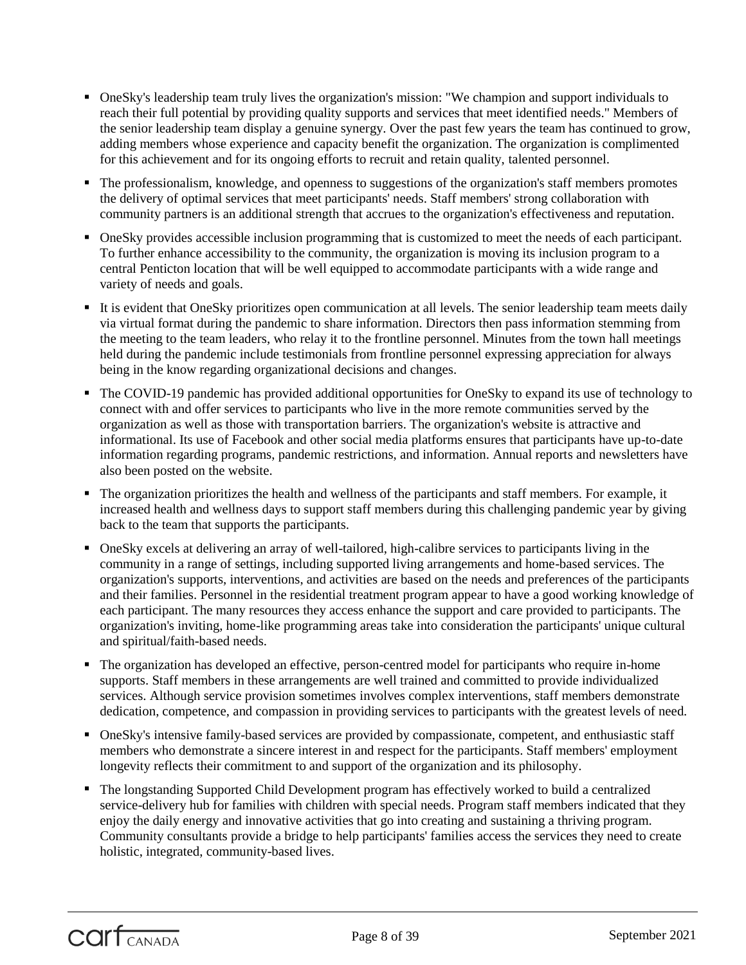- OneSky's leadership team truly lives the organization's mission: "We champion and support individuals to reach their full potential by providing quality supports and services that meet identified needs." Members of the senior leadership team display a genuine synergy. Over the past few years the team has continued to grow, adding members whose experience and capacity benefit the organization. The organization is complimented for this achievement and for its ongoing efforts to recruit and retain quality, talented personnel.
- The professionalism, knowledge, and openness to suggestions of the organization's staff members promotes the delivery of optimal services that meet participants' needs. Staff members' strong collaboration with community partners is an additional strength that accrues to the organization's effectiveness and reputation.
- OneSky provides accessible inclusion programming that is customized to meet the needs of each participant. To further enhance accessibility to the community, the organization is moving its inclusion program to a central Penticton location that will be well equipped to accommodate participants with a wide range and variety of needs and goals.
- It is evident that OneSky prioritizes open communication at all levels. The senior leadership team meets daily via virtual format during the pandemic to share information. Directors then pass information stemming from the meeting to the team leaders, who relay it to the frontline personnel. Minutes from the town hall meetings held during the pandemic include testimonials from frontline personnel expressing appreciation for always being in the know regarding organizational decisions and changes.
- The COVID-19 pandemic has provided additional opportunities for OneSky to expand its use of technology to connect with and offer services to participants who live in the more remote communities served by the organization as well as those with transportation barriers. The organization's website is attractive and informational. Its use of Facebook and other social media platforms ensures that participants have up-to-date information regarding programs, pandemic restrictions, and information. Annual reports and newsletters have also been posted on the website.
- The organization prioritizes the health and wellness of the participants and staff members. For example, it increased health and wellness days to support staff members during this challenging pandemic year by giving back to the team that supports the participants.
- OneSky excels at delivering an array of well-tailored, high-calibre services to participants living in the community in a range of settings, including supported living arrangements and home-based services. The organization's supports, interventions, and activities are based on the needs and preferences of the participants and their families. Personnel in the residential treatment program appear to have a good working knowledge of each participant. The many resources they access enhance the support and care provided to participants. The organization's inviting, home-like programming areas take into consideration the participants' unique cultural and spiritual/faith-based needs.
- The organization has developed an effective, person-centred model for participants who require in-home supports. Staff members in these arrangements are well trained and committed to provide individualized services. Although service provision sometimes involves complex interventions, staff members demonstrate dedication, competence, and compassion in providing services to participants with the greatest levels of need.
- OneSky's intensive family-based services are provided by compassionate, competent, and enthusiastic staff members who demonstrate a sincere interest in and respect for the participants. Staff members' employment longevity reflects their commitment to and support of the organization and its philosophy.
- The longstanding Supported Child Development program has effectively worked to build a centralized service-delivery hub for families with children with special needs. Program staff members indicated that they enjoy the daily energy and innovative activities that go into creating and sustaining a thriving program. Community consultants provide a bridge to help participants' families access the services they need to create holistic, integrated, community-based lives.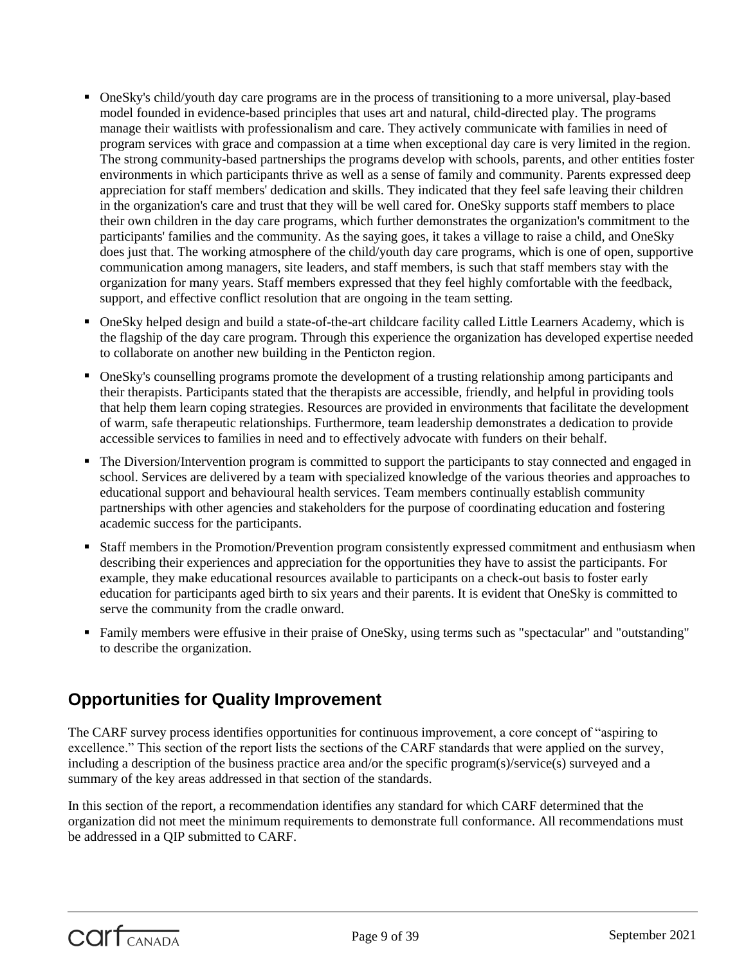- OneSky's child/youth day care programs are in the process of transitioning to a more universal, play-based model founded in evidence-based principles that uses art and natural, child-directed play. The programs manage their waitlists with professionalism and care. They actively communicate with families in need of program services with grace and compassion at a time when exceptional day care is very limited in the region. The strong community-based partnerships the programs develop with schools, parents, and other entities foster environments in which participants thrive as well as a sense of family and community. Parents expressed deep appreciation for staff members' dedication and skills. They indicated that they feel safe leaving their children in the organization's care and trust that they will be well cared for. OneSky supports staff members to place their own children in the day care programs, which further demonstrates the organization's commitment to the participants' families and the community. As the saying goes, it takes a village to raise a child, and OneSky does just that. The working atmosphere of the child/youth day care programs, which is one of open, supportive communication among managers, site leaders, and staff members, is such that staff members stay with the organization for many years. Staff members expressed that they feel highly comfortable with the feedback, support, and effective conflict resolution that are ongoing in the team setting.
- OneSky helped design and build a state-of-the-art childcare facility called Little Learners Academy, which is the flagship of the day care program. Through this experience the organization has developed expertise needed to collaborate on another new building in the Penticton region.
- OneSky's counselling programs promote the development of a trusting relationship among participants and their therapists. Participants stated that the therapists are accessible, friendly, and helpful in providing tools that help them learn coping strategies. Resources are provided in environments that facilitate the development of warm, safe therapeutic relationships. Furthermore, team leadership demonstrates a dedication to provide accessible services to families in need and to effectively advocate with funders on their behalf.
- The Diversion/Intervention program is committed to support the participants to stay connected and engaged in school. Services are delivered by a team with specialized knowledge of the various theories and approaches to educational support and behavioural health services. Team members continually establish community partnerships with other agencies and stakeholders for the purpose of coordinating education and fostering academic success for the participants.
- Staff members in the Promotion/Prevention program consistently expressed commitment and enthusiasm when describing their experiences and appreciation for the opportunities they have to assist the participants. For example, they make educational resources available to participants on a check-out basis to foster early education for participants aged birth to six years and their parents. It is evident that OneSky is committed to serve the community from the cradle onward.
- Family members were effusive in their praise of OneSky, using terms such as "spectacular" and "outstanding" to describe the organization.

# **Opportunities for Quality Improvement**

The CARF survey process identifies opportunities for continuous improvement, a core concept of "aspiring to excellence." This section of the report lists the sections of the CARF standards that were applied on the survey, including a description of the business practice area and/or the specific program(s)/service(s) surveyed and a summary of the key areas addressed in that section of the standards.

In this section of the report, a recommendation identifies any standard for which CARF determined that the organization did not meet the minimum requirements to demonstrate full conformance. All recommendations must be addressed in a QIP submitted to CARF.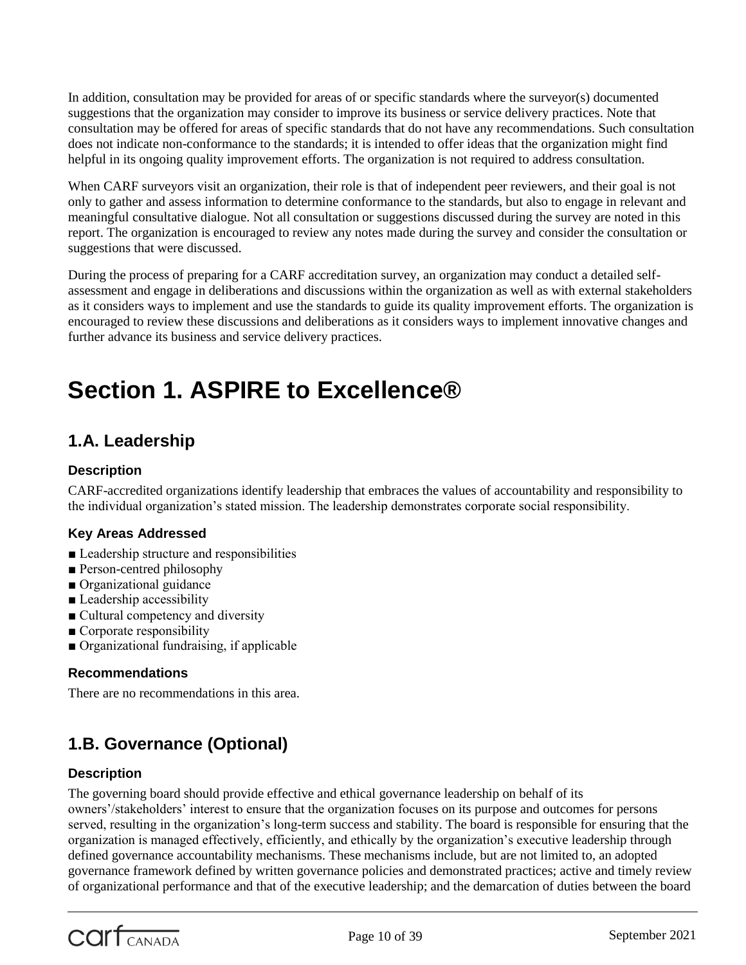In addition, consultation may be provided for areas of or specific standards where the surveyor(s) documented suggestions that the organization may consider to improve its business or service delivery practices. Note that consultation may be offered for areas of specific standards that do not have any recommendations. Such consultation does not indicate non-conformance to the standards; it is intended to offer ideas that the organization might find helpful in its ongoing quality improvement efforts. The organization is not required to address consultation.

When CARF surveyors visit an organization, their role is that of independent peer reviewers, and their goal is not only to gather and assess information to determine conformance to the standards, but also to engage in relevant and meaningful consultative dialogue. Not all consultation or suggestions discussed during the survey are noted in this report. The organization is encouraged to review any notes made during the survey and consider the consultation or suggestions that were discussed.

During the process of preparing for a CARF accreditation survey, an organization may conduct a detailed selfassessment and engage in deliberations and discussions within the organization as well as with external stakeholders as it considers ways to implement and use the standards to guide its quality improvement efforts. The organization is encouraged to review these discussions and deliberations as it considers ways to implement innovative changes and further advance its business and service delivery practices.

# **Section 1. ASPIRE to Excellence®**

# **1.A. Leadership**

# **Description**

CARF-accredited organizations identify leadership that embraces the values of accountability and responsibility to the individual organization's stated mission. The leadership demonstrates corporate social responsibility.

# **Key Areas Addressed**

- Leadership structure and responsibilities
- Person-centred philosophy
- Organizational guidance
- Leadership accessibility
- Cultural competency and diversity
- Corporate responsibility
- Organizational fundraising, if applicable

# **Recommendations**

There are no recommendations in this area.

# **1.B. Governance (Optional)**

# **Description**

The governing board should provide effective and ethical governance leadership on behalf of its owners'/stakeholders' interest to ensure that the organization focuses on its purpose and outcomes for persons served, resulting in the organization's long-term success and stability. The board is responsible for ensuring that the organization is managed effectively, efficiently, and ethically by the organization's executive leadership through defined governance accountability mechanisms. These mechanisms include, but are not limited to, an adopted governance framework defined by written governance policies and demonstrated practices; active and timely review of organizational performance and that of the executive leadership; and the demarcation of duties between the board

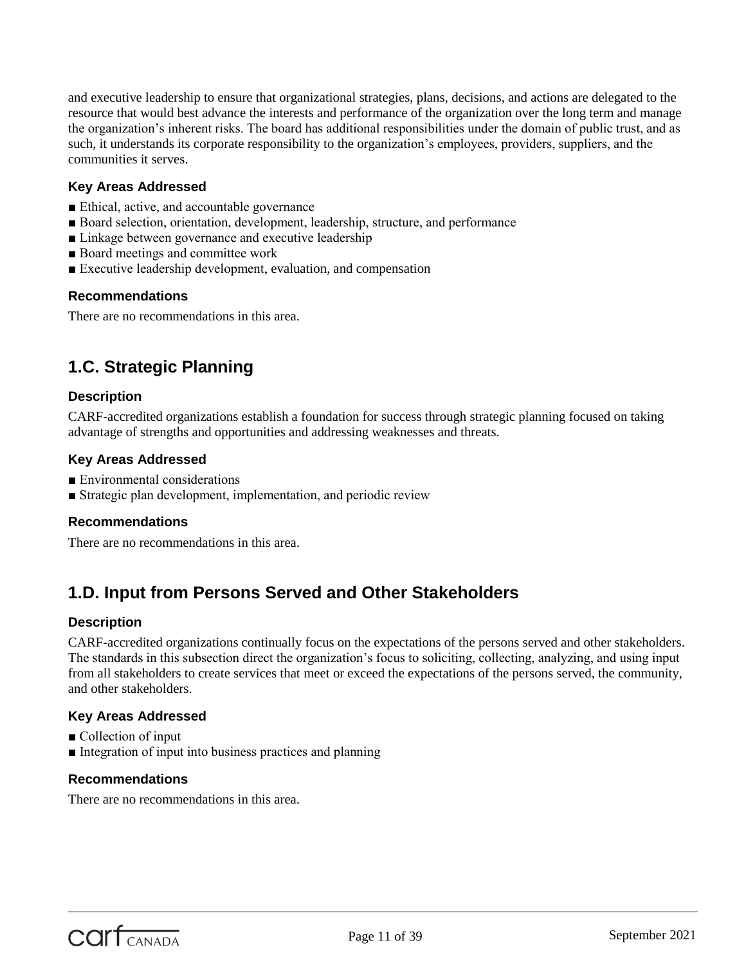and executive leadership to ensure that organizational strategies, plans, decisions, and actions are delegated to the resource that would best advance the interests and performance of the organization over the long term and manage the organization's inherent risks. The board has additional responsibilities under the domain of public trust, and as such, it understands its corporate responsibility to the organization's employees, providers, suppliers, and the communities it serves.

# **Key Areas Addressed**

- Ethical, active, and accountable governance
- Board selection, orientation, development, leadership, structure, and performance
- Linkage between governance and executive leadership
- Board meetings and committee work
- Executive leadership development, evaluation, and compensation

# **Recommendations**

There are no recommendations in this area.

# **1.C. Strategic Planning**

# **Description**

CARF-accredited organizations establish a foundation for success through strategic planning focused on taking advantage of strengths and opportunities and addressing weaknesses and threats.

# **Key Areas Addressed**

- Environmental considerations
- Strategic plan development, implementation, and periodic review

# **Recommendations**

There are no recommendations in this area.

# **1.D. Input from Persons Served and Other Stakeholders**

# **Description**

CARF-accredited organizations continually focus on the expectations of the persons served and other stakeholders. The standards in this subsection direct the organization's focus to soliciting, collecting, analyzing, and using input from all stakeholders to create services that meet or exceed the expectations of the persons served, the community, and other stakeholders.

# **Key Areas Addressed**

- Collection of input
- Integration of input into business practices and planning

# **Recommendations**

There are no recommendations in this area.

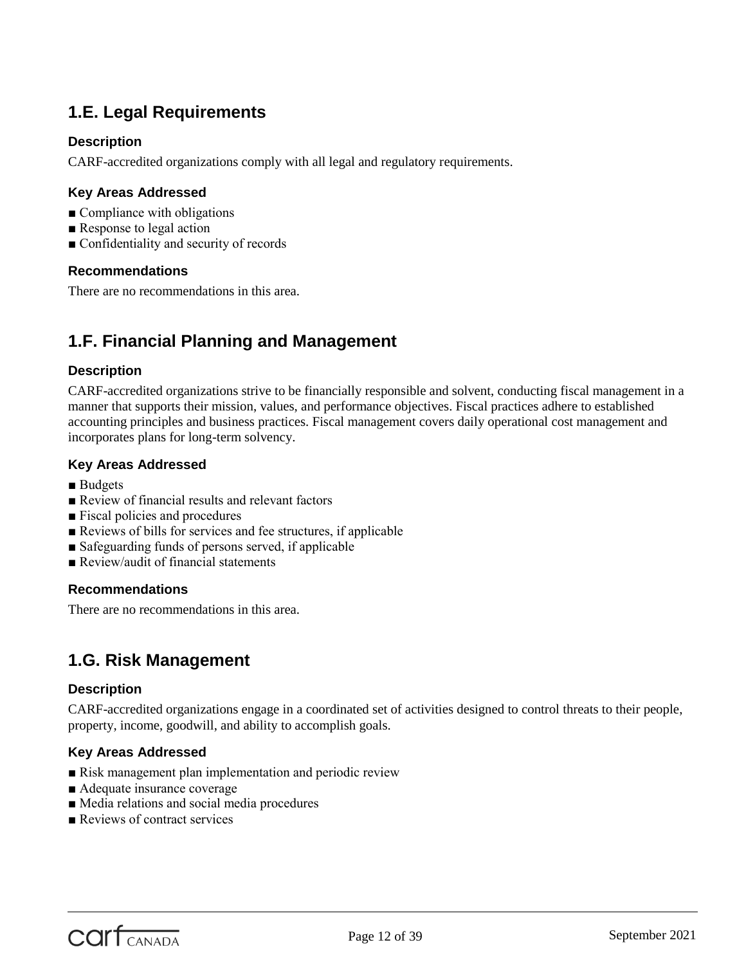# **1.E. Legal Requirements**

# **Description**

CARF-accredited organizations comply with all legal and regulatory requirements.

# **Key Areas Addressed**

- Compliance with obligations
- Response to legal action
- Confidentiality and security of records

#### **Recommendations**

There are no recommendations in this area.

# **1.F. Financial Planning and Management**

#### **Description**

CARF-accredited organizations strive to be financially responsible and solvent, conducting fiscal management in a manner that supports their mission, values, and performance objectives. Fiscal practices adhere to established accounting principles and business practices. Fiscal management covers daily operational cost management and incorporates plans for long-term solvency.

#### **Key Areas Addressed**

- Budgets
- Review of financial results and relevant factors
- Fiscal policies and procedures
- Reviews of bills for services and fee structures, if applicable
- Safeguarding funds of persons served, if applicable
- Review/audit of financial statements

#### **Recommendations**

There are no recommendations in this area.

# **1.G. Risk Management**

#### **Description**

CARF-accredited organizations engage in a coordinated set of activities designed to control threats to their people, property, income, goodwill, and ability to accomplish goals.

#### **Key Areas Addressed**

- Risk management plan implementation and periodic review
- Adequate insurance coverage
- Media relations and social media procedures
- Reviews of contract services

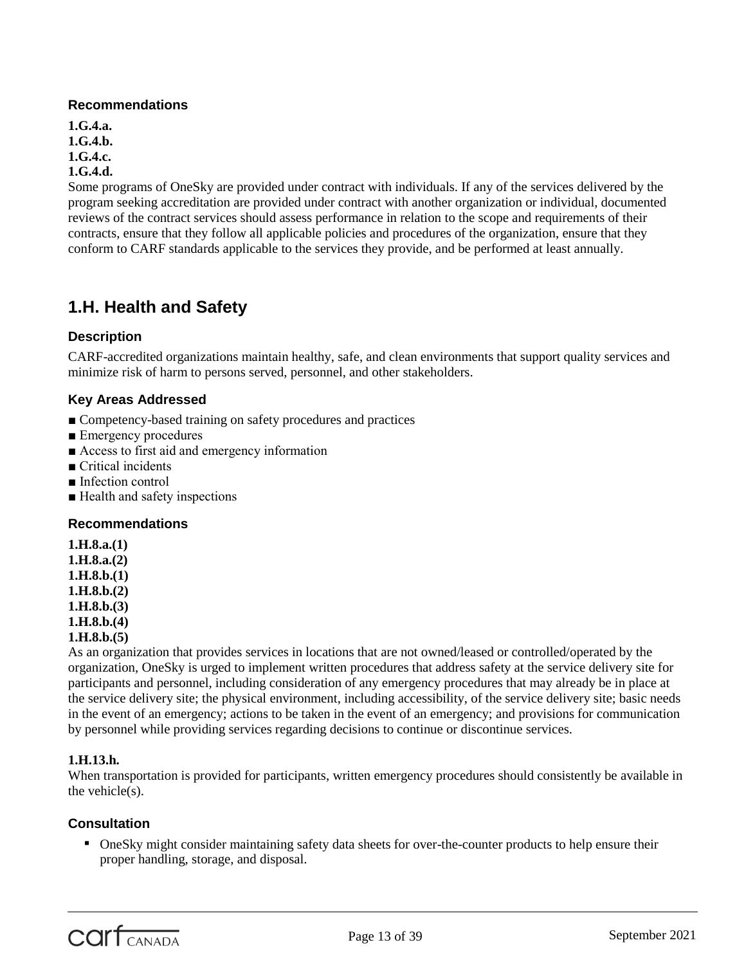# **Recommendations**

**1.G.4.a. 1.G.4.b. 1.G.4.c. 1.G.4.d.**

Some programs of OneSky are provided under contract with individuals. If any of the services delivered by the program seeking accreditation are provided under contract with another organization or individual, documented reviews of the contract services should assess performance in relation to the scope and requirements of their contracts, ensure that they follow all applicable policies and procedures of the organization, ensure that they conform to CARF standards applicable to the services they provide, and be performed at least annually.

# **1.H. Health and Safety**

# **Description**

CARF-accredited organizations maintain healthy, safe, and clean environments that support quality services and minimize risk of harm to persons served, personnel, and other stakeholders.

# **Key Areas Addressed**

- Competency-based training on safety procedures and practices
- Emergency procedures
- Access to first aid and emergency information
- Critical incidents
- Infection control
- Health and safety inspections

# **Recommendations**

**1.H.8.a.(1)**

- **1.H.8.a.(2)**
- **1.H.8.b.(1)**
- **1.H.8.b.(2)**
- **1.H.8.b.(3)**
- **1.H.8.b.(4)**

# **1.H.8.b.(5)**

As an organization that provides services in locations that are not owned/leased or controlled/operated by the organization, OneSky is urged to implement written procedures that address safety at the service delivery site for participants and personnel, including consideration of any emergency procedures that may already be in place at the service delivery site; the physical environment, including accessibility, of the service delivery site; basic needs in the event of an emergency; actions to be taken in the event of an emergency; and provisions for communication by personnel while providing services regarding decisions to continue or discontinue services.

# **1.H.13.h.**

When transportation is provided for participants, written emergency procedures should consistently be available in the vehicle(s).

# **Consultation**

 OneSky might consider maintaining safety data sheets for over-the-counter products to help ensure their proper handling, storage, and disposal.

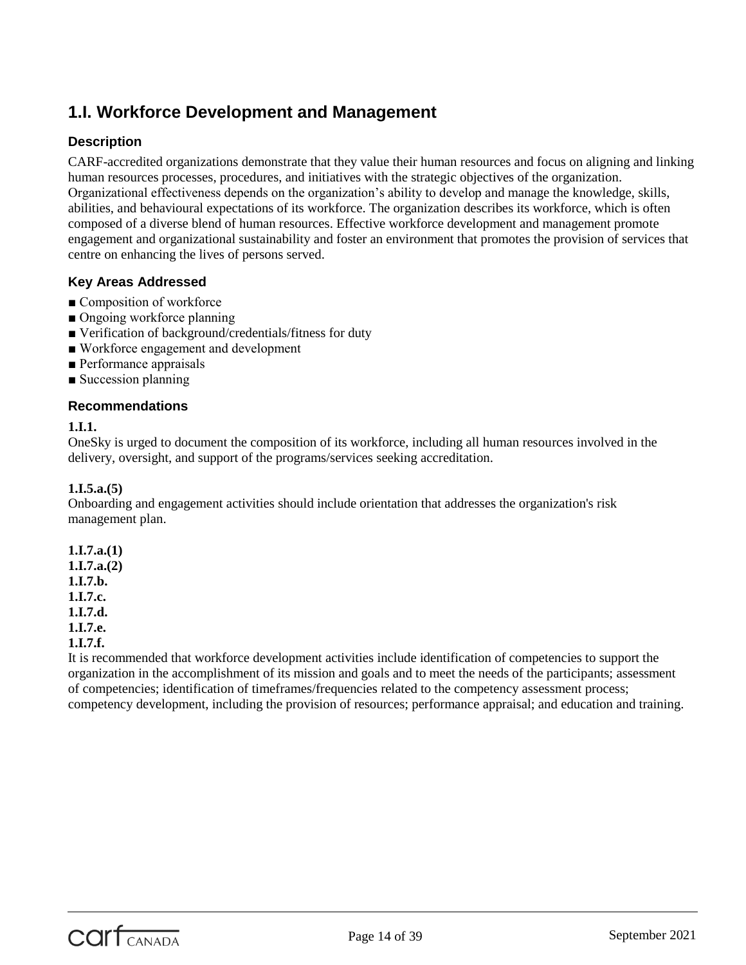# **1.I. Workforce Development and Management**

# **Description**

CARF-accredited organizations demonstrate that they value their human resources and focus on aligning and linking human resources processes, procedures, and initiatives with the strategic objectives of the organization. Organizational effectiveness depends on the organization's ability to develop and manage the knowledge, skills, abilities, and behavioural expectations of its workforce. The organization describes its workforce, which is often composed of a diverse blend of human resources. Effective workforce development and management promote engagement and organizational sustainability and foster an environment that promotes the provision of services that centre on enhancing the lives of persons served.

# **Key Areas Addressed**

- Composition of workforce
- Ongoing workforce planning
- Verification of background/credentials/fitness for duty
- Workforce engagement and development
- Performance appraisals
- Succession planning

# **Recommendations**

# **1.I.1.**

OneSky is urged to document the composition of its workforce, including all human resources involved in the delivery, oversight, and support of the programs/services seeking accreditation.

# **1.I.5.a.(5)**

Onboarding and engagement activities should include orientation that addresses the organization's risk management plan.

**1.I.7.a.(1) 1.I.7.a.(2) 1.I.7.b. 1.I.7.c. 1.I.7.d. 1.I.7.e.**

# **1.I.7.f.**

It is recommended that workforce development activities include identification of competencies to support the organization in the accomplishment of its mission and goals and to meet the needs of the participants; assessment of competencies; identification of timeframes/frequencies related to the competency assessment process; competency development, including the provision of resources; performance appraisal; and education and training.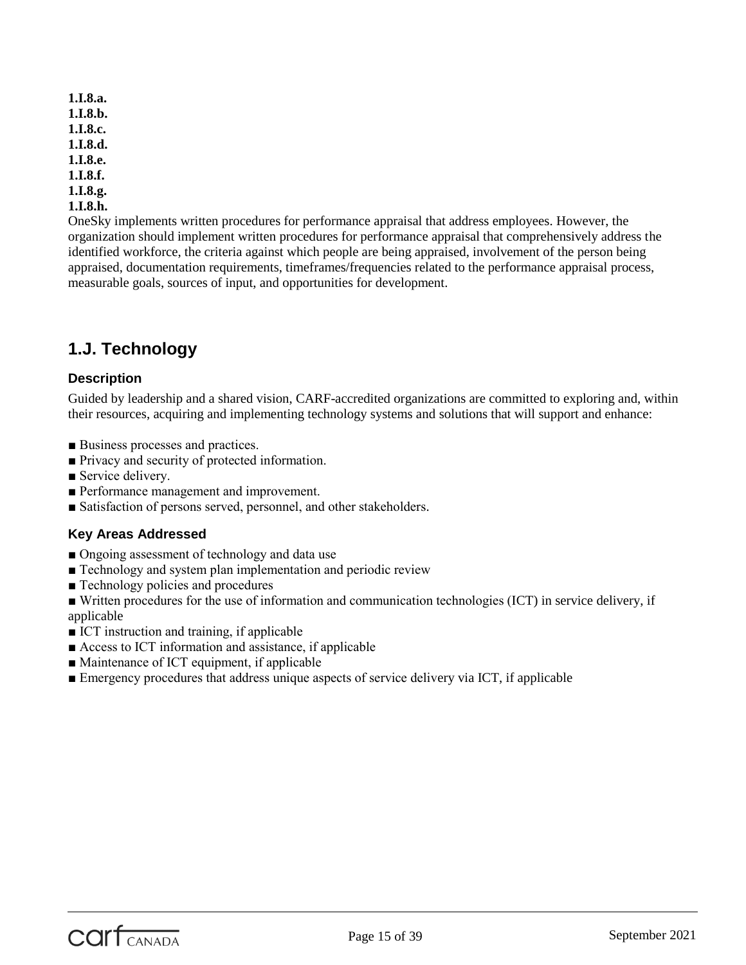**1.I.8.a. 1.I.8.b. 1.I.8.c. 1.I.8.d. 1.I.8.e. 1.I.8.f. 1.I.8.g. 1.I.8.h.**

OneSky implements written procedures for performance appraisal that address employees. However, the organization should implement written procedures for performance appraisal that comprehensively address the identified workforce, the criteria against which people are being appraised, involvement of the person being appraised, documentation requirements, timeframes/frequencies related to the performance appraisal process, measurable goals, sources of input, and opportunities for development.

# **1.J. Technology**

# **Description**

Guided by leadership and a shared vision, CARF-accredited organizations are committed to exploring and, within their resources, acquiring and implementing technology systems and solutions that will support and enhance:

- Business processes and practices.
- Privacy and security of protected information.
- Service delivery.
- Performance management and improvement.
- Satisfaction of persons served, personnel, and other stakeholders.

# **Key Areas Addressed**

- Ongoing assessment of technology and data use
- Technology and system plan implementation and periodic review
- Technology policies and procedures
- Written procedures for the use of information and communication technologies (ICT) in service delivery, if applicable
- ICT instruction and training, if applicable
- Access to ICT information and assistance, if applicable
- Maintenance of ICT equipment, if applicable
- Emergency procedures that address unique aspects of service delivery via ICT, if applicable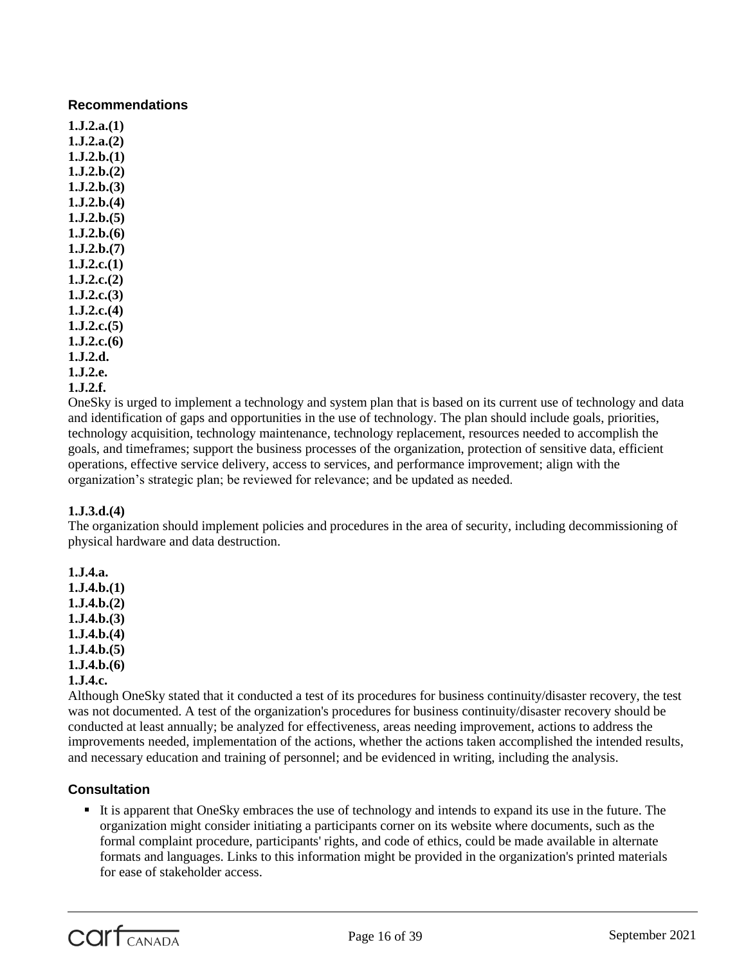# **Recommendations**

**1.J.2.a.(1) 1.J.2.a.(2) 1.J.2.b.(1) 1.J.2.b.(2) 1.J.2.b.(3) 1.J.2.b.(4) 1.J.2.b.(5) 1.J.2.b.(6) 1.J.2.b.(7) 1.J.2.c.(1) 1.J.2.c.(2) 1.J.2.c.(3) 1.J.2.c.(4) 1.J.2.c.(5) 1.J.2.c.(6) 1.J.2.d. 1.J.2.e. 1.J.2.f.**

OneSky is urged to implement a technology and system plan that is based on its current use of technology and data and identification of gaps and opportunities in the use of technology. The plan should include goals, priorities, technology acquisition, technology maintenance, technology replacement, resources needed to accomplish the goals, and timeframes; support the business processes of the organization, protection of sensitive data, efficient operations, effective service delivery, access to services, and performance improvement; align with the organization's strategic plan; be reviewed for relevance; and be updated as needed.

# **1.J.3.d.(4)**

The organization should implement policies and procedures in the area of security, including decommissioning of physical hardware and data destruction.

**1.J.4.a. 1.J.4.b.(1) 1.J.4.b.(2) 1.J.4.b.(3) 1.J.4.b.(4) 1.J.4.b.(5) 1.J.4.b.(6) 1.J.4.c.**

Although OneSky stated that it conducted a test of its procedures for business continuity/disaster recovery, the test was not documented. A test of the organization's procedures for business continuity/disaster recovery should be conducted at least annually; be analyzed for effectiveness, areas needing improvement, actions to address the improvements needed, implementation of the actions, whether the actions taken accomplished the intended results, and necessary education and training of personnel; and be evidenced in writing, including the analysis.

# **Consultation**

It is apparent that OneSky embraces the use of technology and intends to expand its use in the future. The organization might consider initiating a participants corner on its website where documents, such as the formal complaint procedure, participants' rights, and code of ethics, could be made available in alternate formats and languages. Links to this information might be provided in the organization's printed materials for ease of stakeholder access.

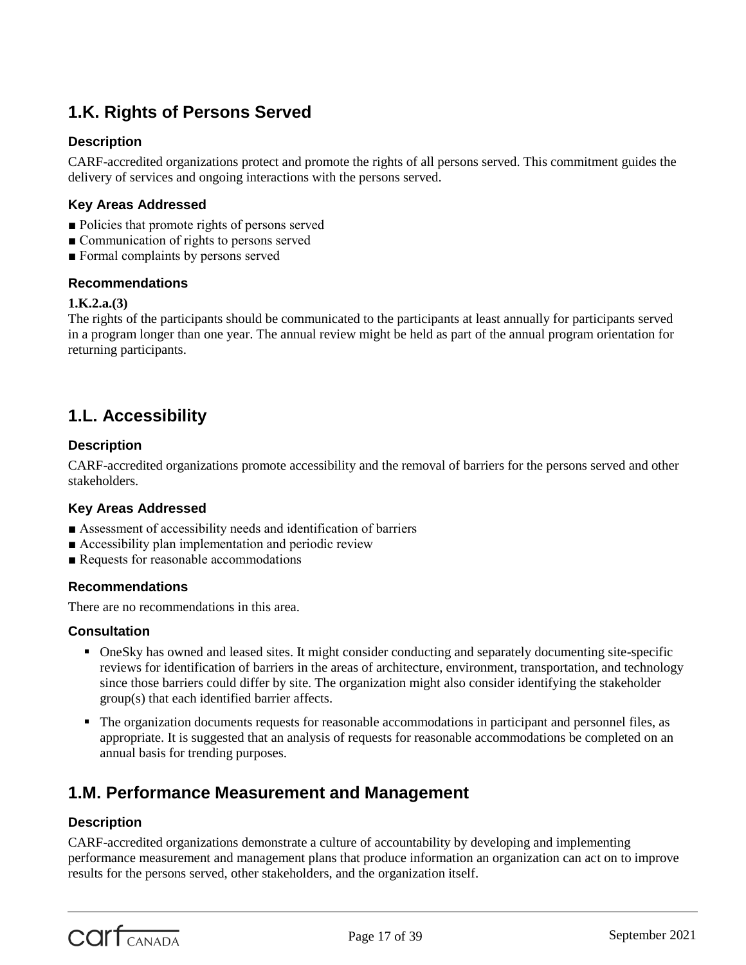# **1.K. Rights of Persons Served**

# **Description**

CARF-accredited organizations protect and promote the rights of all persons served. This commitment guides the delivery of services and ongoing interactions with the persons served.

# **Key Areas Addressed**

- Policies that promote rights of persons served
- Communication of rights to persons served
- Formal complaints by persons served

#### **Recommendations**

#### **1.K.2.a.(3)**

The rights of the participants should be communicated to the participants at least annually for participants served in a program longer than one year. The annual review might be held as part of the annual program orientation for returning participants.

# **1.L. Accessibility**

# **Description**

CARF-accredited organizations promote accessibility and the removal of barriers for the persons served and other stakeholders.

# **Key Areas Addressed**

- Assessment of accessibility needs and identification of barriers
- Accessibility plan implementation and periodic review
- Requests for reasonable accommodations

# **Recommendations**

There are no recommendations in this area.

# **Consultation**

- OneSky has owned and leased sites. It might consider conducting and separately documenting site-specific reviews for identification of barriers in the areas of architecture, environment, transportation, and technology since those barriers could differ by site. The organization might also consider identifying the stakeholder group(s) that each identified barrier affects.
- The organization documents requests for reasonable accommodations in participant and personnel files, as appropriate. It is suggested that an analysis of requests for reasonable accommodations be completed on an annual basis for trending purposes.

# **1.M. Performance Measurement and Management**

# **Description**

CARF-accredited organizations demonstrate a culture of accountability by developing and implementing performance measurement and management plans that produce information an organization can act on to improve results for the persons served, other stakeholders, and the organization itself.

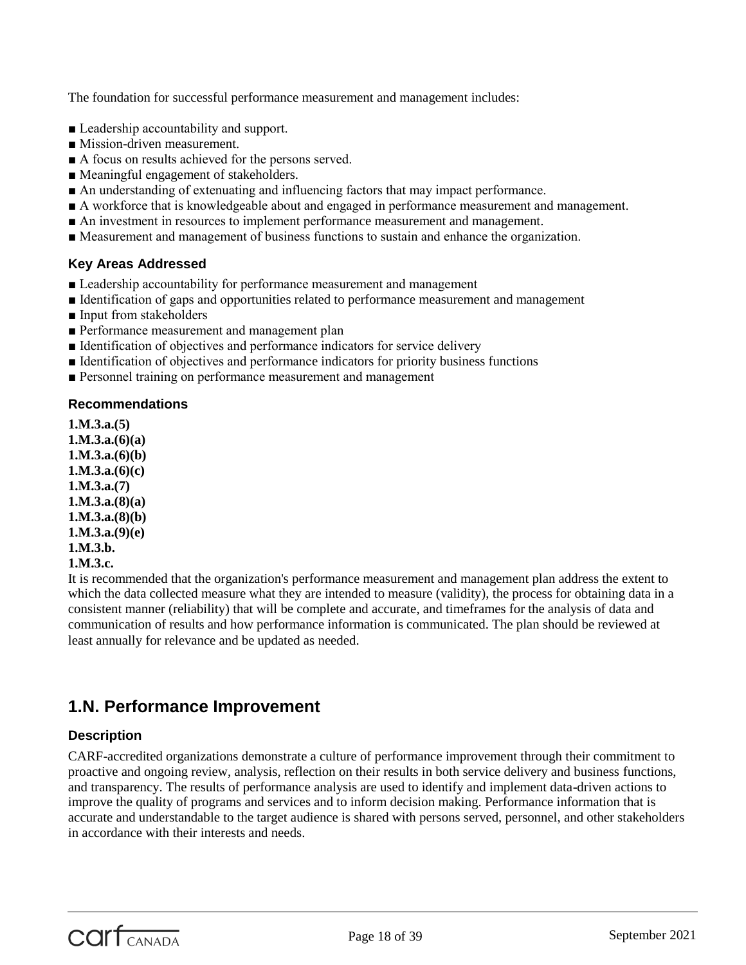The foundation for successful performance measurement and management includes:

- Leadership accountability and support.
- Mission-driven measurement.
- A focus on results achieved for the persons served.
- Meaningful engagement of stakeholders.
- An understanding of extenuating and influencing factors that may impact performance.
- A workforce that is knowledgeable about and engaged in performance measurement and management.
- An investment in resources to implement performance measurement and management.
- Measurement and management of business functions to sustain and enhance the organization.

# **Key Areas Addressed**

- Leadership accountability for performance measurement and management
- Identification of gaps and opportunities related to performance measurement and management
- Input from stakeholders
- Performance measurement and management plan
- Identification of objectives and performance indicators for service delivery
- Identification of objectives and performance indicators for priority business functions
- Personnel training on performance measurement and management

# **Recommendations**

**1.M.3.a.(5) 1.M.3.a.(6)(a) 1.M.3.a.(6)(b) 1.M.3.a.(6)(c) 1.M.3.a.(7) 1.M.3.a.(8)(a) 1.M.3.a.(8)(b) 1.M.3.a.(9)(e) 1.M.3.b. 1.M.3.c.**

It is recommended that the organization's performance measurement and management plan address the extent to which the data collected measure what they are intended to measure (validity), the process for obtaining data in a consistent manner (reliability) that will be complete and accurate, and timeframes for the analysis of data and communication of results and how performance information is communicated. The plan should be reviewed at least annually for relevance and be updated as needed.

# **1.N. Performance Improvement**

# **Description**

CARF-accredited organizations demonstrate a culture of performance improvement through their commitment to proactive and ongoing review, analysis, reflection on their results in both service delivery and business functions, and transparency. The results of performance analysis are used to identify and implement data-driven actions to improve the quality of programs and services and to inform decision making. Performance information that is accurate and understandable to the target audience is shared with persons served, personnel, and other stakeholders in accordance with their interests and needs.

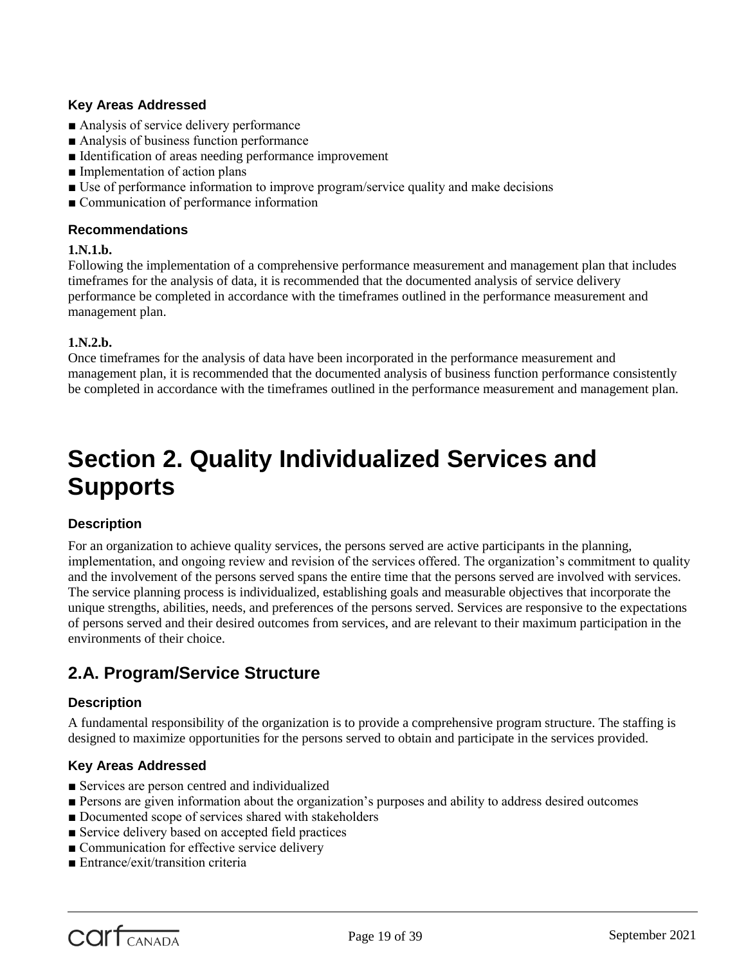# **Key Areas Addressed**

- Analysis of service delivery performance
- Analysis of business function performance
- Identification of areas needing performance improvement
- Implementation of action plans
- Use of performance information to improve program/service quality and make decisions
- Communication of performance information

#### **Recommendations**

#### **1.N.1.b.**

Following the implementation of a comprehensive performance measurement and management plan that includes timeframes for the analysis of data, it is recommended that the documented analysis of service delivery performance be completed in accordance with the timeframes outlined in the performance measurement and management plan.

# **1.N.2.b.**

Once timeframes for the analysis of data have been incorporated in the performance measurement and management plan, it is recommended that the documented analysis of business function performance consistently be completed in accordance with the timeframes outlined in the performance measurement and management plan.

# **Section 2. Quality Individualized Services and Supports**

# **Description**

For an organization to achieve quality services, the persons served are active participants in the planning, implementation, and ongoing review and revision of the services offered. The organization's commitment to quality and the involvement of the persons served spans the entire time that the persons served are involved with services. The service planning process is individualized, establishing goals and measurable objectives that incorporate the unique strengths, abilities, needs, and preferences of the persons served. Services are responsive to the expectations of persons served and their desired outcomes from services, and are relevant to their maximum participation in the environments of their choice.

# **2.A. Program/Service Structure**

# **Description**

A fundamental responsibility of the organization is to provide a comprehensive program structure. The staffing is designed to maximize opportunities for the persons served to obtain and participate in the services provided.

# **Key Areas Addressed**

- Services are person centred and individualized
- Persons are given information about the organization's purposes and ability to address desired outcomes
- Documented scope of services shared with stakeholders
- Service delivery based on accepted field practices
- Communication for effective service delivery
- Entrance/exit/transition criteria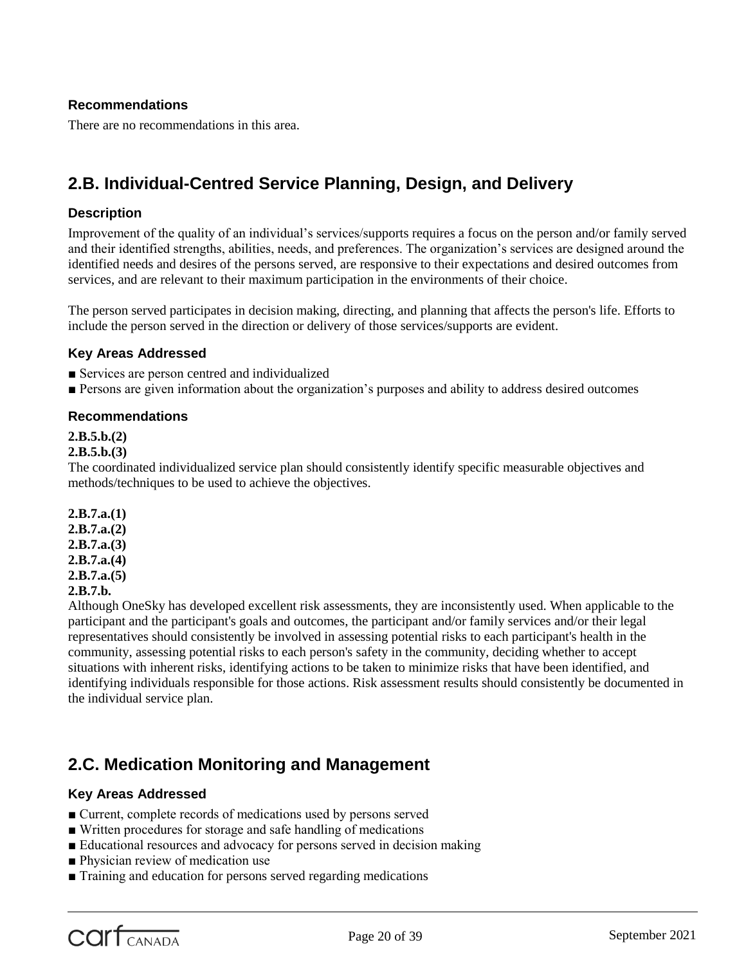# **Recommendations**

There are no recommendations in this area.

# **2.B. Individual-Centred Service Planning, Design, and Delivery**

# **Description**

Improvement of the quality of an individual's services/supports requires a focus on the person and/or family served and their identified strengths, abilities, needs, and preferences. The organization's services are designed around the identified needs and desires of the persons served, are responsive to their expectations and desired outcomes from services, and are relevant to their maximum participation in the environments of their choice.

The person served participates in decision making, directing, and planning that affects the person's life. Efforts to include the person served in the direction or delivery of those services/supports are evident.

# **Key Areas Addressed**

- Services are person centred and individualized
- Persons are given information about the organization's purposes and ability to address desired outcomes

# **Recommendations**

# **2.B.5.b.(2)**

# **2.B.5.b.(3)**

The coordinated individualized service plan should consistently identify specific measurable objectives and methods/techniques to be used to achieve the objectives.

**2.B.7.a.(1) 2.B.7.a.(2) 2.B.7.a.(3) 2.B.7.a.(4) 2.B.7.a.(5) 2.B.7.b.**

Although OneSky has developed excellent risk assessments, they are inconsistently used. When applicable to the participant and the participant's goals and outcomes, the participant and/or family services and/or their legal representatives should consistently be involved in assessing potential risks to each participant's health in the community, assessing potential risks to each person's safety in the community, deciding whether to accept situations with inherent risks, identifying actions to be taken to minimize risks that have been identified, and identifying individuals responsible for those actions. Risk assessment results should consistently be documented in the individual service plan.

# **2.C. Medication Monitoring and Management**

# **Key Areas Addressed**

- Current, complete records of medications used by persons served
- Written procedures for storage and safe handling of medications
- Educational resources and advocacy for persons served in decision making
- Physician review of medication use
- Training and education for persons served regarding medications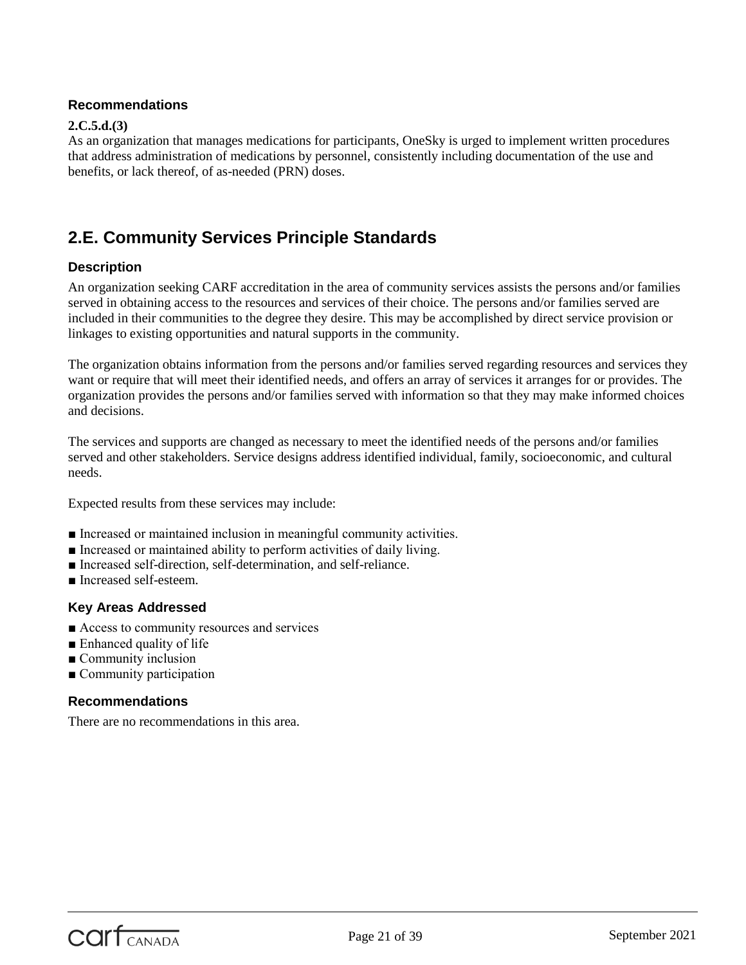# **Recommendations**

#### **2.C.5.d.(3)**

As an organization that manages medications for participants, OneSky is urged to implement written procedures that address administration of medications by personnel, consistently including documentation of the use and benefits, or lack thereof, of as-needed (PRN) doses.

# **2.E. Community Services Principle Standards**

# **Description**

An organization seeking CARF accreditation in the area of community services assists the persons and/or families served in obtaining access to the resources and services of their choice. The persons and/or families served are included in their communities to the degree they desire. This may be accomplished by direct service provision or linkages to existing opportunities and natural supports in the community.

The organization obtains information from the persons and/or families served regarding resources and services they want or require that will meet their identified needs, and offers an array of services it arranges for or provides. The organization provides the persons and/or families served with information so that they may make informed choices and decisions.

The services and supports are changed as necessary to meet the identified needs of the persons and/or families served and other stakeholders. Service designs address identified individual, family, socioeconomic, and cultural needs.

Expected results from these services may include:

- Increased or maintained inclusion in meaningful community activities.
- Increased or maintained ability to perform activities of daily living.
- Increased self-direction, self-determination, and self-reliance.
- Increased self-esteem.

# **Key Areas Addressed**

- Access to community resources and services
- Enhanced quality of life
- Community inclusion
- Community participation

# **Recommendations**

There are no recommendations in this area.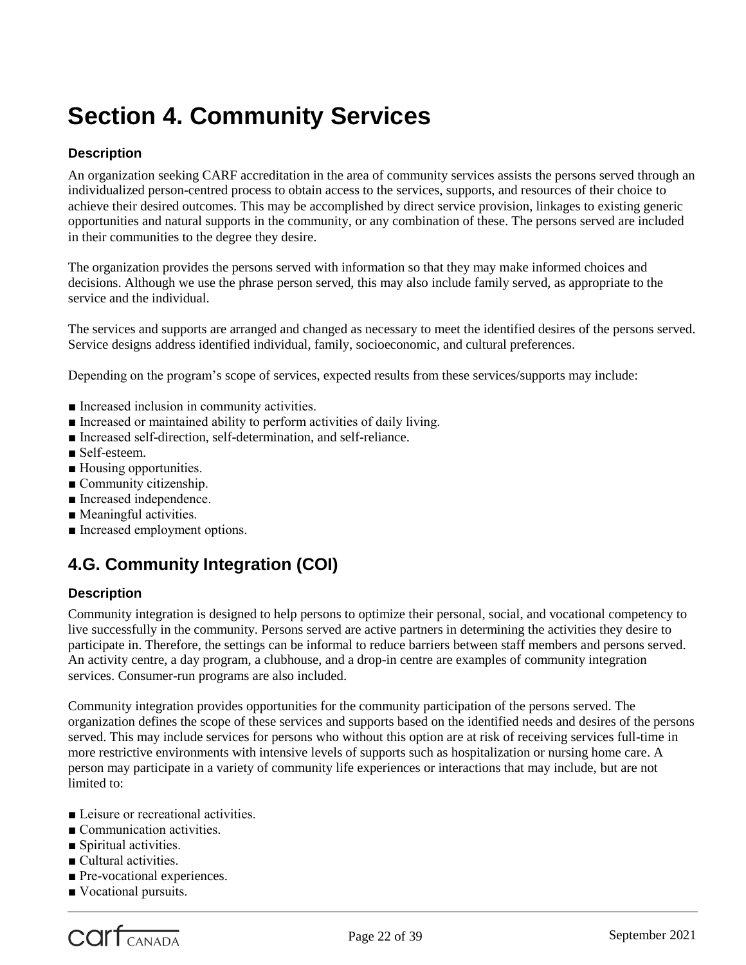# **Section 4. Community Services**

# **Description**

An organization seeking CARF accreditation in the area of community services assists the persons served through an individualized person-centred process to obtain access to the services, supports, and resources of their choice to achieve their desired outcomes. This may be accomplished by direct service provision, linkages to existing generic opportunities and natural supports in the community, or any combination of these. The persons served are included in their communities to the degree they desire.

The organization provides the persons served with information so that they may make informed choices and decisions. Although we use the phrase person served, this may also include family served, as appropriate to the service and the individual.

The services and supports are arranged and changed as necessary to meet the identified desires of the persons served. Service designs address identified individual, family, socioeconomic, and cultural preferences.

Depending on the program's scope of services, expected results from these services/supports may include:

- Increased inclusion in community activities.
- Increased or maintained ability to perform activities of daily living.
- Increased self-direction, self-determination, and self-reliance.
- Self-esteem.
- Housing opportunities.
- Community citizenship.
- Increased independence.
- Meaningful activities.
- Increased employment options.

# **4.G. Community Integration (COI)**

# **Description**

Community integration is designed to help persons to optimize their personal, social, and vocational competency to live successfully in the community. Persons served are active partners in determining the activities they desire to participate in. Therefore, the settings can be informal to reduce barriers between staff members and persons served. An activity centre, a day program, a clubhouse, and a drop-in centre are examples of community integration services. Consumer-run programs are also included.

Community integration provides opportunities for the community participation of the persons served. The organization defines the scope of these services and supports based on the identified needs and desires of the persons served. This may include services for persons who without this option are at risk of receiving services full-time in more restrictive environments with intensive levels of supports such as hospitalization or nursing home care. A person may participate in a variety of community life experiences or interactions that may include, but are not limited to:

- Leisure or recreational activities.
- Communication activities.
- Spiritual activities.
- Cultural activities.
- Pre-vocational experiences.
- Vocational pursuits.

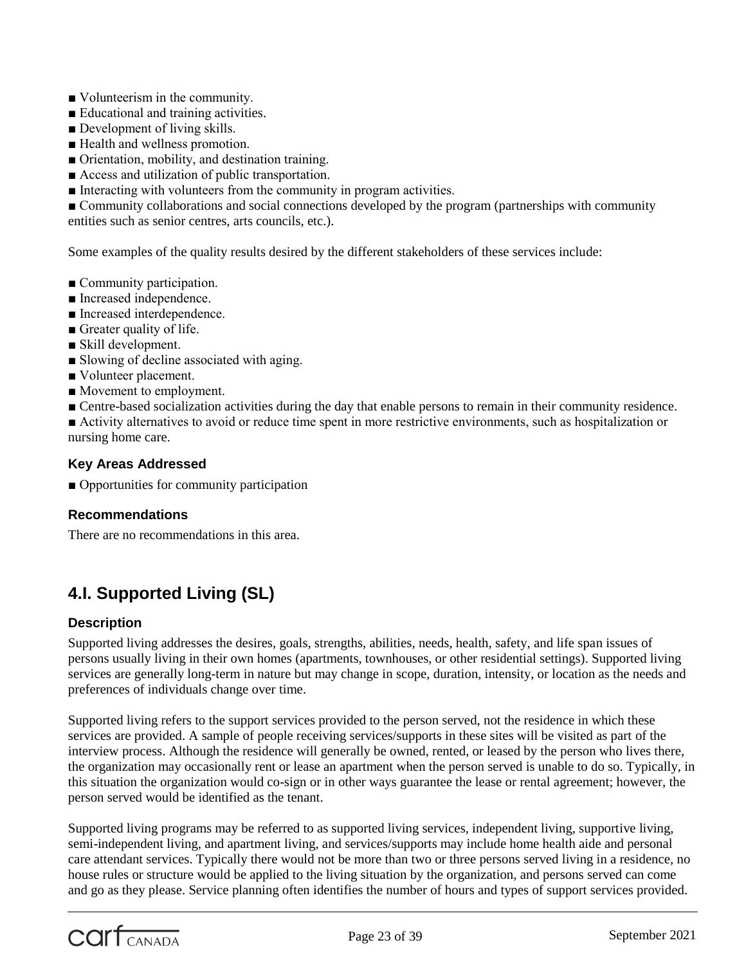- Volunteerism in the community.
- Educational and training activities.
- Development of living skills.
- Health and wellness promotion.
- Orientation, mobility, and destination training.
- Access and utilization of public transportation.
- Interacting with volunteers from the community in program activities.

■ Community collaborations and social connections developed by the program (partnerships with community entities such as senior centres, arts councils, etc.).

Some examples of the quality results desired by the different stakeholders of these services include:

- Community participation.
- Increased independence.
- Increased interdependence.
- Greater quality of life.
- Skill development.
- Slowing of decline associated with aging.
- Volunteer placement.
- Movement to employment.
- Centre-based socialization activities during the day that enable persons to remain in their community residence.
- Activity alternatives to avoid or reduce time spent in more restrictive environments, such as hospitalization or nursing home care.

#### **Key Areas Addressed**

■ Opportunities for community participation

#### **Recommendations**

There are no recommendations in this area.

# **4.I. Supported Living (SL)**

#### **Description**

Supported living addresses the desires, goals, strengths, abilities, needs, health, safety, and life span issues of persons usually living in their own homes (apartments, townhouses, or other residential settings). Supported living services are generally long-term in nature but may change in scope, duration, intensity, or location as the needs and preferences of individuals change over time.

Supported living refers to the support services provided to the person served, not the residence in which these services are provided. A sample of people receiving services/supports in these sites will be visited as part of the interview process. Although the residence will generally be owned, rented, or leased by the person who lives there, the organization may occasionally rent or lease an apartment when the person served is unable to do so. Typically, in this situation the organization would co-sign or in other ways guarantee the lease or rental agreement; however, the person served would be identified as the tenant.

Supported living programs may be referred to as supported living services, independent living, supportive living, semi-independent living, and apartment living, and services/supports may include home health aide and personal care attendant services. Typically there would not be more than two or three persons served living in a residence, no house rules or structure would be applied to the living situation by the organization, and persons served can come and go as they please. Service planning often identifies the number of hours and types of support services provided.

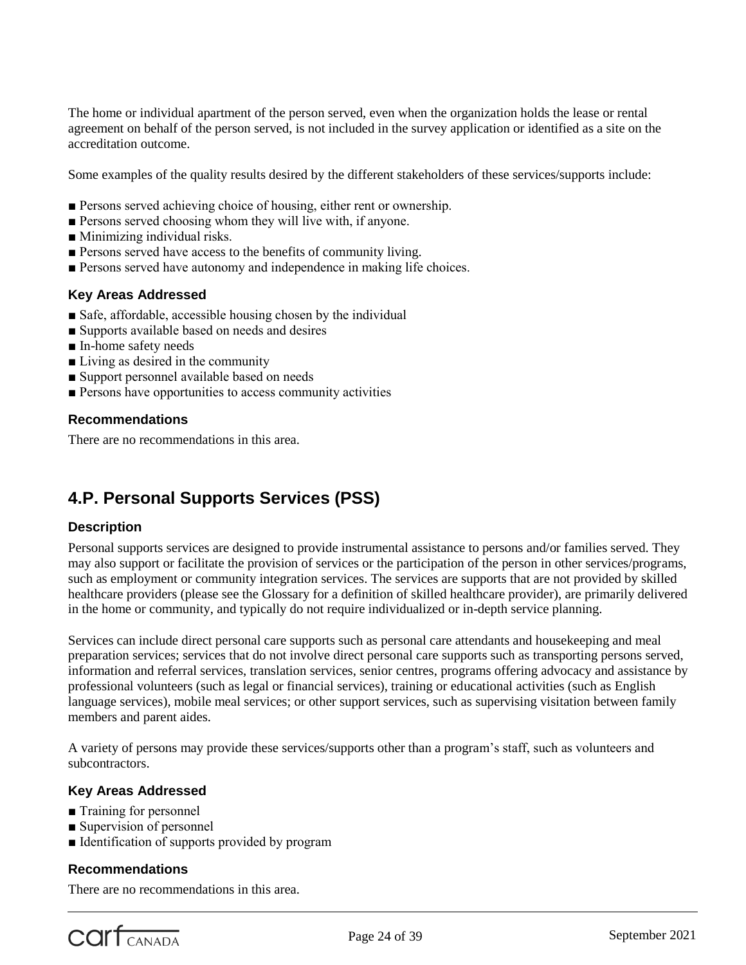The home or individual apartment of the person served, even when the organization holds the lease or rental agreement on behalf of the person served, is not included in the survey application or identified as a site on the accreditation outcome.

Some examples of the quality results desired by the different stakeholders of these services/supports include:

- Persons served achieving choice of housing, either rent or ownership.
- Persons served choosing whom they will live with, if anyone.
- Minimizing individual risks.
- Persons served have access to the benefits of community living.
- Persons served have autonomy and independence in making life choices.

#### **Key Areas Addressed**

- Safe, affordable, accessible housing chosen by the individual
- Supports available based on needs and desires
- In-home safety needs
- Living as desired in the community
- Support personnel available based on needs
- Persons have opportunities to access community activities

#### **Recommendations**

There are no recommendations in this area.

# **4.P. Personal Supports Services (PSS)**

#### **Description**

Personal supports services are designed to provide instrumental assistance to persons and/or families served. They may also support or facilitate the provision of services or the participation of the person in other services/programs, such as employment or community integration services. The services are supports that are not provided by skilled healthcare providers (please see the Glossary for a definition of skilled healthcare provider), are primarily delivered in the home or community, and typically do not require individualized or in-depth service planning.

Services can include direct personal care supports such as personal care attendants and housekeeping and meal preparation services; services that do not involve direct personal care supports such as transporting persons served, information and referral services, translation services, senior centres, programs offering advocacy and assistance by professional volunteers (such as legal or financial services), training or educational activities (such as English language services), mobile meal services; or other support services, such as supervising visitation between family members and parent aides.

A variety of persons may provide these services/supports other than a program's staff, such as volunteers and subcontractors.

# **Key Areas Addressed**

- Training for personnel
- Supervision of personnel
- Identification of supports provided by program

#### **Recommendations**

There are no recommendations in this area.

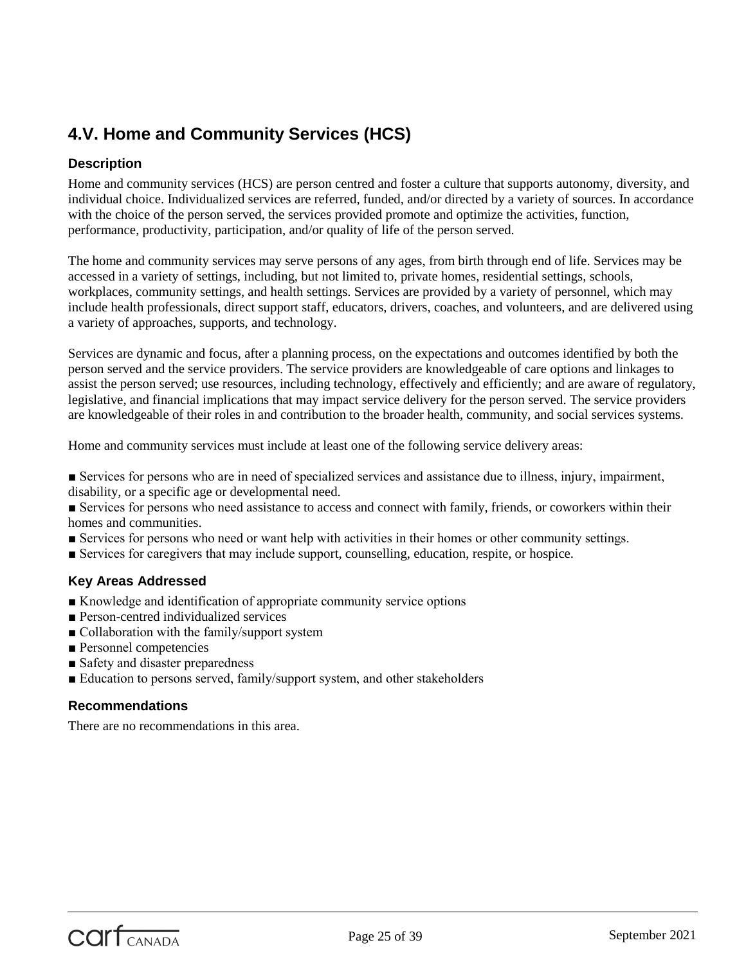# **4.V. Home and Community Services (HCS)**

# **Description**

Home and community services (HCS) are person centred and foster a culture that supports autonomy, diversity, and individual choice. Individualized services are referred, funded, and/or directed by a variety of sources. In accordance with the choice of the person served, the services provided promote and optimize the activities, function, performance, productivity, participation, and/or quality of life of the person served.

The home and community services may serve persons of any ages, from birth through end of life. Services may be accessed in a variety of settings, including, but not limited to, private homes, residential settings, schools, workplaces, community settings, and health settings. Services are provided by a variety of personnel, which may include health professionals, direct support staff, educators, drivers, coaches, and volunteers, and are delivered using a variety of approaches, supports, and technology.

Services are dynamic and focus, after a planning process, on the expectations and outcomes identified by both the person served and the service providers. The service providers are knowledgeable of care options and linkages to assist the person served; use resources, including technology, effectively and efficiently; and are aware of regulatory, legislative, and financial implications that may impact service delivery for the person served. The service providers are knowledgeable of their roles in and contribution to the broader health, community, and social services systems.

Home and community services must include at least one of the following service delivery areas:

- Services for persons who are in need of specialized services and assistance due to illness, injury, impairment, disability, or a specific age or developmental need.
- Services for persons who need assistance to access and connect with family, friends, or coworkers within their homes and communities.
- Services for persons who need or want help with activities in their homes or other community settings.
- Services for caregivers that may include support, counselling, education, respite, or hospice.

# **Key Areas Addressed**

- Knowledge and identification of appropriate community service options
- Person-centred individualized services
- Collaboration with the family/support system
- Personnel competencies
- Safety and disaster preparedness
- Education to persons served, family/support system, and other stakeholders

# **Recommendations**

There are no recommendations in this area.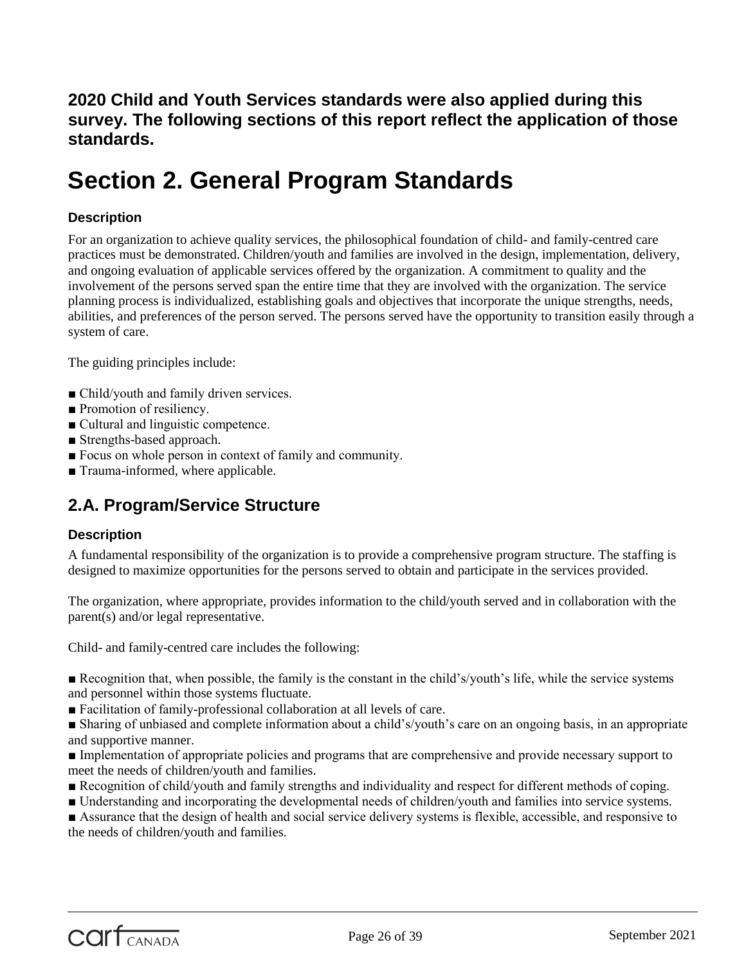**2020 Child and Youth Services standards were also applied during this survey. The following sections of this report reflect the application of those standards.**

# **Section 2. General Program Standards**

# **Description**

For an organization to achieve quality services, the philosophical foundation of child- and family-centred care practices must be demonstrated. Children/youth and families are involved in the design, implementation, delivery, and ongoing evaluation of applicable services offered by the organization. A commitment to quality and the involvement of the persons served span the entire time that they are involved with the organization. The service planning process is individualized, establishing goals and objectives that incorporate the unique strengths, needs, abilities, and preferences of the person served. The persons served have the opportunity to transition easily through a system of care.

The guiding principles include:

- Child/youth and family driven services.
- Promotion of resiliency.
- Cultural and linguistic competence.
- Strengths-based approach.
- Focus on whole person in context of family and community.
- Trauma-informed, where applicable.

# **2.A. Program/Service Structure**

# **Description**

A fundamental responsibility of the organization is to provide a comprehensive program structure. The staffing is designed to maximize opportunities for the persons served to obtain and participate in the services provided.

The organization, where appropriate, provides information to the child/youth served and in collaboration with the parent(s) and/or legal representative.

Child- and family-centred care includes the following:

■ Recognition that, when possible, the family is the constant in the child's/youth's life, while the service systems and personnel within those systems fluctuate.

■ Facilitation of family-professional collaboration at all levels of care.

■ Sharing of unbiased and complete information about a child's/youth's care on an ongoing basis, in an appropriate and supportive manner.

■ Implementation of appropriate policies and programs that are comprehensive and provide necessary support to meet the needs of children/youth and families.

- Recognition of child/youth and family strengths and individuality and respect for different methods of coping.
- Understanding and incorporating the developmental needs of children/youth and families into service systems.

■ Assurance that the design of health and social service delivery systems is flexible, accessible, and responsive to the needs of children/youth and families.

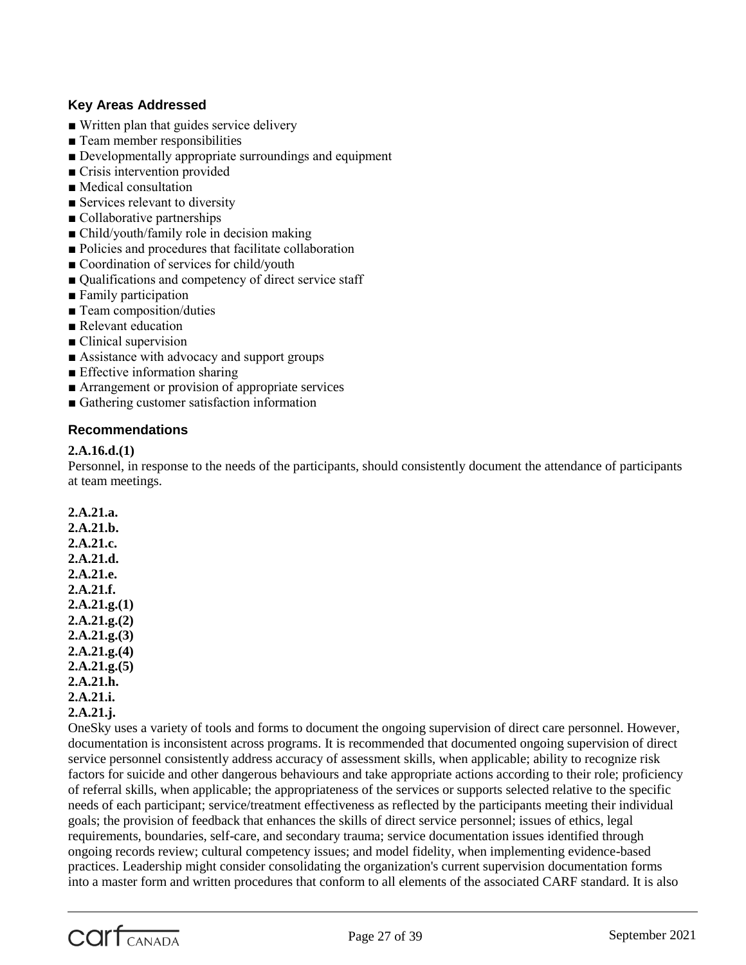# **Key Areas Addressed**

- Written plan that guides service delivery
- Team member responsibilities
- Developmentally appropriate surroundings and equipment
- Crisis intervention provided
- Medical consultation
- Services relevant to diversity
- Collaborative partnerships
- Child/youth/family role in decision making
- Policies and procedures that facilitate collaboration
- Coordination of services for child/youth
- Qualifications and competency of direct service staff
- Family participation
- Team composition/duties
- Relevant education
- Clinical supervision
- Assistance with advocacy and support groups
- Effective information sharing
- Arrangement or provision of appropriate services
- Gathering customer satisfaction information

# **Recommendations**

#### **2.A.16.d.(1)**

Personnel, in response to the needs of the participants, should consistently document the attendance of participants at team meetings.

**2.A.21.a. 2.A.21.b. 2.A.21.c. 2.A.21.d. 2.A.21.e. 2.A.21.f. 2.A.21.g.(1) 2.A.21.g.(2) 2.A.21.g.(3) 2.A.21.g.(4) 2.A.21.g.(5) 2.A.21.h. 2.A.21.i. 2.A.21.j.**

OneSky uses a variety of tools and forms to document the ongoing supervision of direct care personnel. However, documentation is inconsistent across programs. It is recommended that documented ongoing supervision of direct service personnel consistently address accuracy of assessment skills, when applicable; ability to recognize risk factors for suicide and other dangerous behaviours and take appropriate actions according to their role; proficiency of referral skills, when applicable; the appropriateness of the services or supports selected relative to the specific needs of each participant; service/treatment effectiveness as reflected by the participants meeting their individual goals; the provision of feedback that enhances the skills of direct service personnel; issues of ethics, legal requirements, boundaries, self-care, and secondary trauma; service documentation issues identified through ongoing records review; cultural competency issues; and model fidelity, when implementing evidence-based practices. Leadership might consider consolidating the organization's current supervision documentation forms into a master form and written procedures that conform to all elements of the associated CARF standard. It is also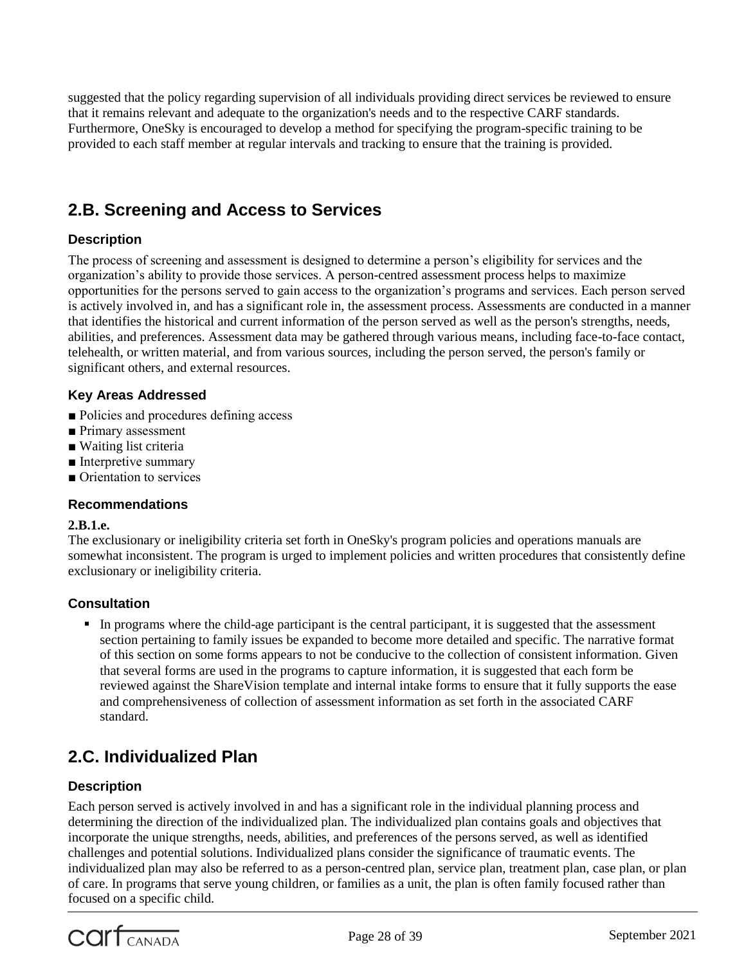suggested that the policy regarding supervision of all individuals providing direct services be reviewed to ensure that it remains relevant and adequate to the organization's needs and to the respective CARF standards. Furthermore, OneSky is encouraged to develop a method for specifying the program-specific training to be provided to each staff member at regular intervals and tracking to ensure that the training is provided.

# **2.B. Screening and Access to Services**

# **Description**

The process of screening and assessment is designed to determine a person's eligibility for services and the organization's ability to provide those services. A person-centred assessment process helps to maximize opportunities for the persons served to gain access to the organization's programs and services. Each person served is actively involved in, and has a significant role in, the assessment process. Assessments are conducted in a manner that identifies the historical and current information of the person served as well as the person's strengths, needs, abilities, and preferences. Assessment data may be gathered through various means, including face-to-face contact, telehealth, or written material, and from various sources, including the person served, the person's family or significant others, and external resources.

# **Key Areas Addressed**

- Policies and procedures defining access
- Primary assessment
- Waiting list criteria
- Interpretive summary
- Orientation to services

# **Recommendations**

#### **2.B.1.e.**

The exclusionary or ineligibility criteria set forth in OneSky's program policies and operations manuals are somewhat inconsistent. The program is urged to implement policies and written procedures that consistently define exclusionary or ineligibility criteria.

# **Consultation**

 In programs where the child-age participant is the central participant, it is suggested that the assessment section pertaining to family issues be expanded to become more detailed and specific. The narrative format of this section on some forms appears to not be conducive to the collection of consistent information. Given that several forms are used in the programs to capture information, it is suggested that each form be reviewed against the ShareVision template and internal intake forms to ensure that it fully supports the ease and comprehensiveness of collection of assessment information as set forth in the associated CARF standard.

# **2.C. Individualized Plan**

# **Description**

Each person served is actively involved in and has a significant role in the individual planning process and determining the direction of the individualized plan. The individualized plan contains goals and objectives that incorporate the unique strengths, needs, abilities, and preferences of the persons served, as well as identified challenges and potential solutions. Individualized plans consider the significance of traumatic events. The individualized plan may also be referred to as a person-centred plan, service plan, treatment plan, case plan, or plan of care. In programs that serve young children, or families as a unit, the plan is often family focused rather than focused on a specific child.

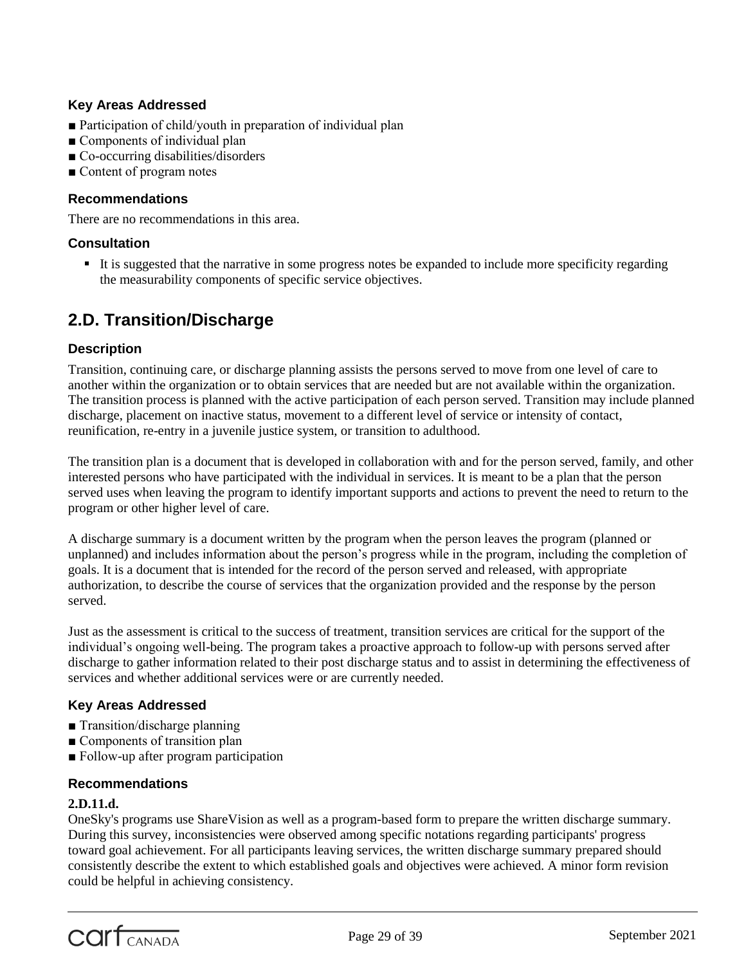# **Key Areas Addressed**

- Participation of child/youth in preparation of individual plan
- Components of individual plan
- Co-occurring disabilities/disorders
- Content of program notes

#### **Recommendations**

There are no recommendations in this area.

#### **Consultation**

 It is suggested that the narrative in some progress notes be expanded to include more specificity regarding the measurability components of specific service objectives.

# **2.D. Transition/Discharge**

# **Description**

Transition, continuing care, or discharge planning assists the persons served to move from one level of care to another within the organization or to obtain services that are needed but are not available within the organization. The transition process is planned with the active participation of each person served. Transition may include planned discharge, placement on inactive status, movement to a different level of service or intensity of contact, reunification, re-entry in a juvenile justice system, or transition to adulthood.

The transition plan is a document that is developed in collaboration with and for the person served, family, and other interested persons who have participated with the individual in services. It is meant to be a plan that the person served uses when leaving the program to identify important supports and actions to prevent the need to return to the program or other higher level of care.

A discharge summary is a document written by the program when the person leaves the program (planned or unplanned) and includes information about the person's progress while in the program, including the completion of goals. It is a document that is intended for the record of the person served and released, with appropriate authorization, to describe the course of services that the organization provided and the response by the person served.

Just as the assessment is critical to the success of treatment, transition services are critical for the support of the individual's ongoing well-being. The program takes a proactive approach to follow-up with persons served after discharge to gather information related to their post discharge status and to assist in determining the effectiveness of services and whether additional services were or are currently needed.

# **Key Areas Addressed**

- Transition/discharge planning
- Components of transition plan
- Follow-up after program participation

#### **Recommendations**

#### **2.D.11.d.**

OneSky's programs use ShareVision as well as a program-based form to prepare the written discharge summary. During this survey, inconsistencies were observed among specific notations regarding participants' progress toward goal achievement. For all participants leaving services, the written discharge summary prepared should consistently describe the extent to which established goals and objectives were achieved. A minor form revision could be helpful in achieving consistency.

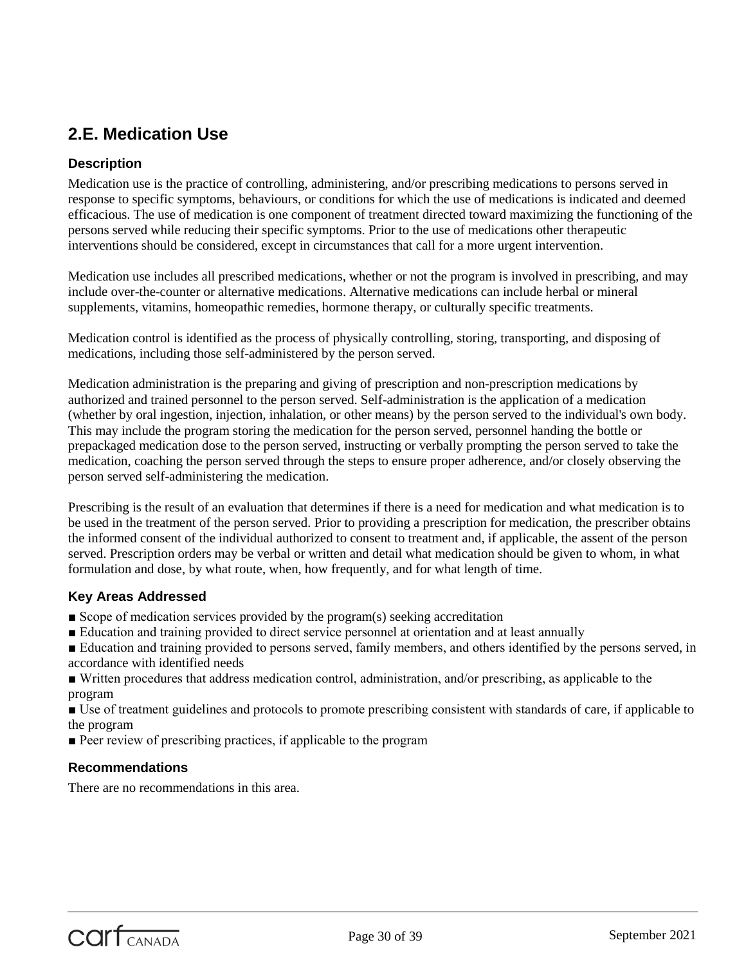# **2.E. Medication Use**

# **Description**

Medication use is the practice of controlling, administering, and/or prescribing medications to persons served in response to specific symptoms, behaviours, or conditions for which the use of medications is indicated and deemed efficacious. The use of medication is one component of treatment directed toward maximizing the functioning of the persons served while reducing their specific symptoms. Prior to the use of medications other therapeutic interventions should be considered, except in circumstances that call for a more urgent intervention.

Medication use includes all prescribed medications, whether or not the program is involved in prescribing, and may include over-the-counter or alternative medications. Alternative medications can include herbal or mineral supplements, vitamins, homeopathic remedies, hormone therapy, or culturally specific treatments.

Medication control is identified as the process of physically controlling, storing, transporting, and disposing of medications, including those self-administered by the person served.

Medication administration is the preparing and giving of prescription and non-prescription medications by authorized and trained personnel to the person served. Self-administration is the application of a medication (whether by oral ingestion, injection, inhalation, or other means) by the person served to the individual's own body. This may include the program storing the medication for the person served, personnel handing the bottle or prepackaged medication dose to the person served, instructing or verbally prompting the person served to take the medication, coaching the person served through the steps to ensure proper adherence, and/or closely observing the person served self-administering the medication.

Prescribing is the result of an evaluation that determines if there is a need for medication and what medication is to be used in the treatment of the person served. Prior to providing a prescription for medication, the prescriber obtains the informed consent of the individual authorized to consent to treatment and, if applicable, the assent of the person served. Prescription orders may be verbal or written and detail what medication should be given to whom, in what formulation and dose, by what route, when, how frequently, and for what length of time.

# **Key Areas Addressed**

- Scope of medication services provided by the program(s) seeking accreditation
- Education and training provided to direct service personnel at orientation and at least annually
- Education and training provided to persons served, family members, and others identified by the persons served, in accordance with identified needs
- Written procedures that address medication control, administration, and/or prescribing, as applicable to the program

■ Use of treatment guidelines and protocols to promote prescribing consistent with standards of care, if applicable to the program

■ Peer review of prescribing practices, if applicable to the program

# **Recommendations**

There are no recommendations in this area.



Page 30 of 39 September 2021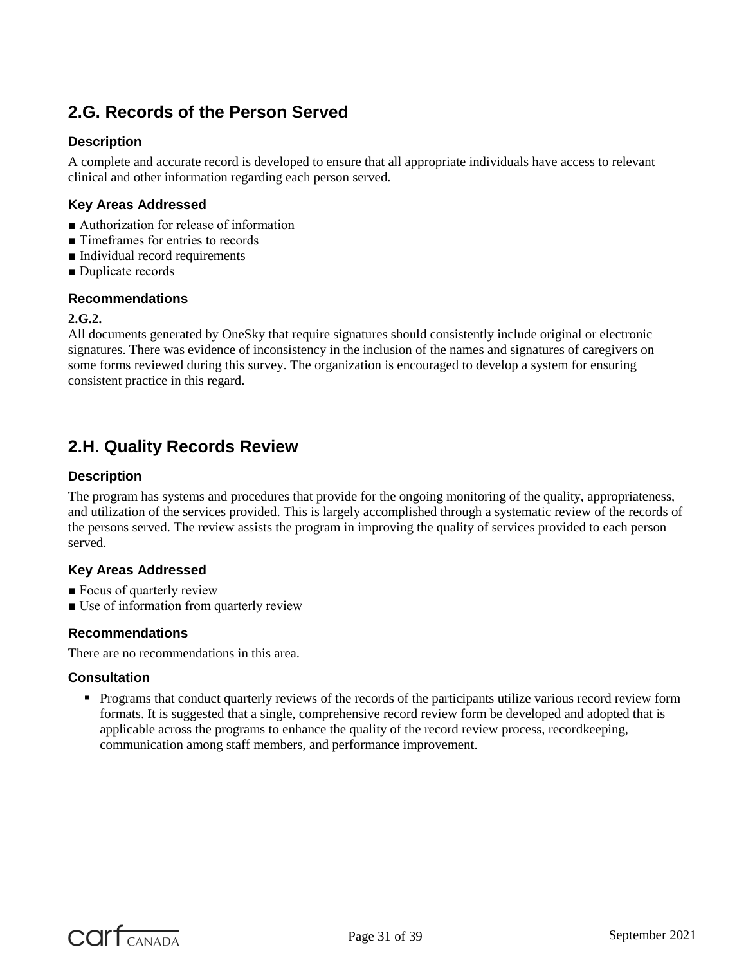# **2.G. Records of the Person Served**

# **Description**

A complete and accurate record is developed to ensure that all appropriate individuals have access to relevant clinical and other information regarding each person served.

# **Key Areas Addressed**

- Authorization for release of information
- Timeframes for entries to records
- Individual record requirements
- Duplicate records

#### **Recommendations**

#### **2.G.2.**

All documents generated by OneSky that require signatures should consistently include original or electronic signatures. There was evidence of inconsistency in the inclusion of the names and signatures of caregivers on some forms reviewed during this survey. The organization is encouraged to develop a system for ensuring consistent practice in this regard.

# **2.H. Quality Records Review**

# **Description**

The program has systems and procedures that provide for the ongoing monitoring of the quality, appropriateness, and utilization of the services provided. This is largely accomplished through a systematic review of the records of the persons served. The review assists the program in improving the quality of services provided to each person served.

# **Key Areas Addressed**

- Focus of quarterly review
- Use of information from quarterly review

# **Recommendations**

There are no recommendations in this area.

# **Consultation**

 Programs that conduct quarterly reviews of the records of the participants utilize various record review form formats. It is suggested that a single, comprehensive record review form be developed and adopted that is applicable across the programs to enhance the quality of the record review process, recordkeeping, communication among staff members, and performance improvement.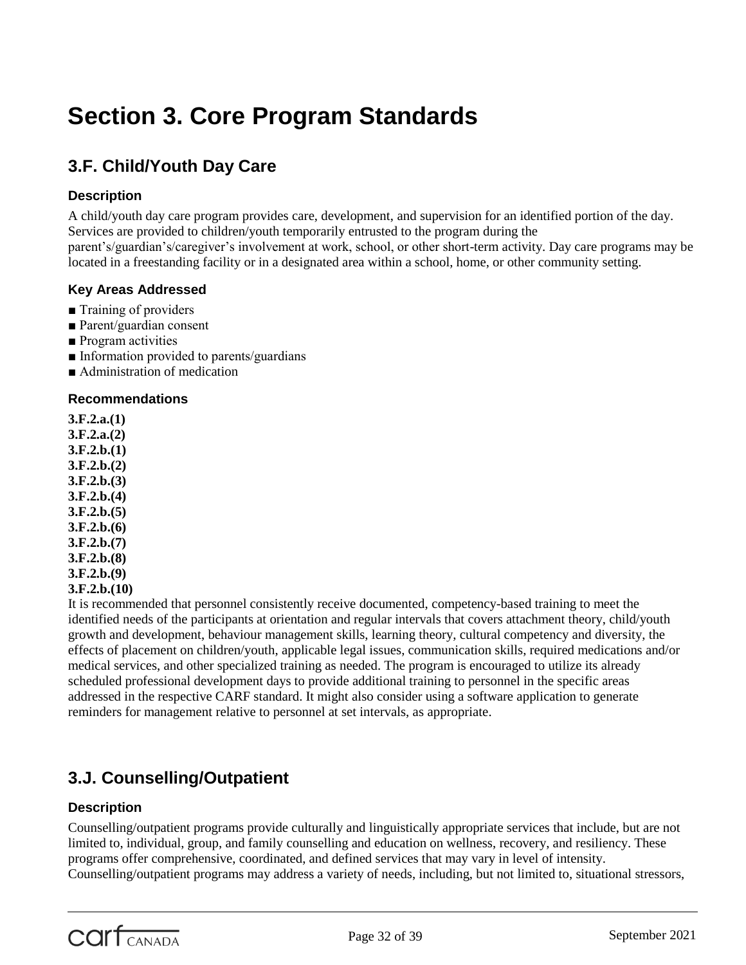# **Section 3. Core Program Standards**

# **3.F. Child/Youth Day Care**

# **Description**

A child/youth day care program provides care, development, and supervision for an identified portion of the day. Services are provided to children/youth temporarily entrusted to the program during the parent's/guardian's/caregiver's involvement at work, school, or other short-term activity. Day care programs may be located in a freestanding facility or in a designated area within a school, home, or other community setting.

# **Key Areas Addressed**

- Training of providers
- Parent/guardian consent
- Program activities
- Information provided to parents/guardians
- Administration of medication

# **Recommendations**

**3.F.2.a.(1) 3.F.2.a.(2) 3.F.2.b.(1) 3.F.2.b.(2) 3.F.2.b.(3) 3.F.2.b.(4) 3.F.2.b.(5) 3.F.2.b.(6) 3.F.2.b.(7) 3.F.2.b.(8) 3.F.2.b.(9) 3.F.2.b.(10)**

It is recommended that personnel consistently receive documented, competency-based training to meet the identified needs of the participants at orientation and regular intervals that covers attachment theory, child/youth growth and development, behaviour management skills, learning theory, cultural competency and diversity, the effects of placement on children/youth, applicable legal issues, communication skills, required medications and/or medical services, and other specialized training as needed. The program is encouraged to utilize its already scheduled professional development days to provide additional training to personnel in the specific areas addressed in the respective CARF standard. It might also consider using a software application to generate reminders for management relative to personnel at set intervals, as appropriate.

# **3.J. Counselling/Outpatient**

# **Description**

Counselling/outpatient programs provide culturally and linguistically appropriate services that include, but are not limited to, individual, group, and family counselling and education on wellness, recovery, and resiliency. These programs offer comprehensive, coordinated, and defined services that may vary in level of intensity. Counselling/outpatient programs may address a variety of needs, including, but not limited to, situational stressors,

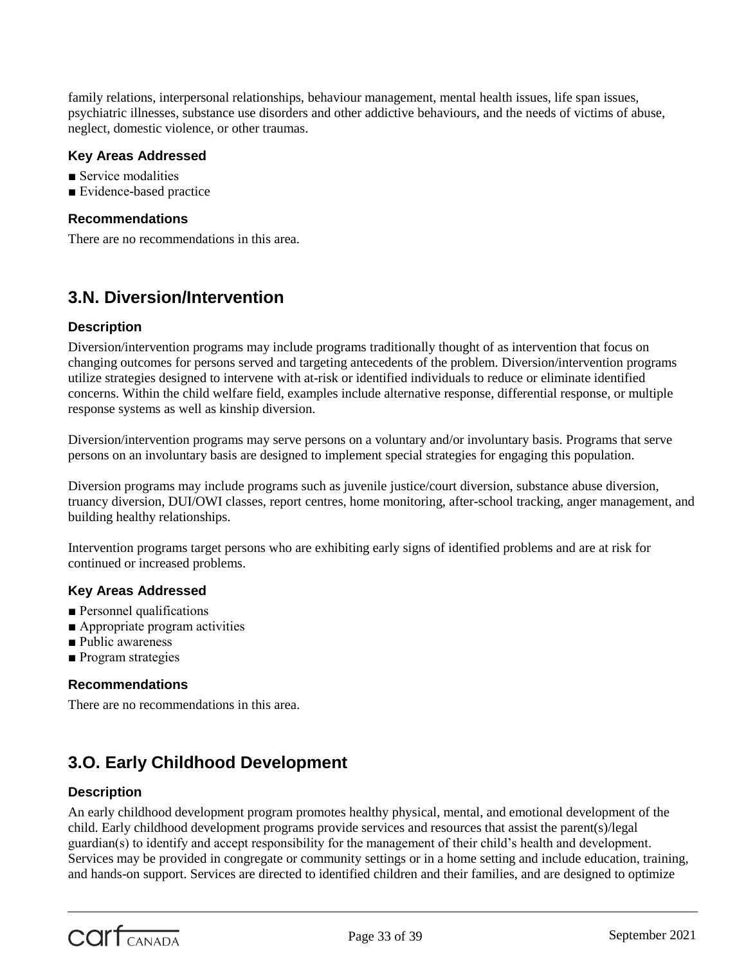family relations, interpersonal relationships, behaviour management, mental health issues, life span issues, psychiatric illnesses, substance use disorders and other addictive behaviours, and the needs of victims of abuse, neglect, domestic violence, or other traumas.

# **Key Areas Addressed**

- Service modalities
- Evidence-based practice

#### **Recommendations**

There are no recommendations in this area.

# **3.N. Diversion/Intervention**

# **Description**

Diversion/intervention programs may include programs traditionally thought of as intervention that focus on changing outcomes for persons served and targeting antecedents of the problem. Diversion/intervention programs utilize strategies designed to intervene with at-risk or identified individuals to reduce or eliminate identified concerns. Within the child welfare field, examples include alternative response, differential response, or multiple response systems as well as kinship diversion.

Diversion/intervention programs may serve persons on a voluntary and/or involuntary basis. Programs that serve persons on an involuntary basis are designed to implement special strategies for engaging this population.

Diversion programs may include programs such as juvenile justice/court diversion, substance abuse diversion, truancy diversion, DUI/OWI classes, report centres, home monitoring, after-school tracking, anger management, and building healthy relationships.

Intervention programs target persons who are exhibiting early signs of identified problems and are at risk for continued or increased problems.

# **Key Areas Addressed**

- Personnel qualifications
- Appropriate program activities
- Public awareness
- Program strategies

# **Recommendations**

There are no recommendations in this area.

# **3.O. Early Childhood Development**

# **Description**

An early childhood development program promotes healthy physical, mental, and emotional development of the child. Early childhood development programs provide services and resources that assist the parent(s)/legal guardian(s) to identify and accept responsibility for the management of their child's health and development. Services may be provided in congregate or community settings or in a home setting and include education, training, and hands-on support. Services are directed to identified children and their families, and are designed to optimize

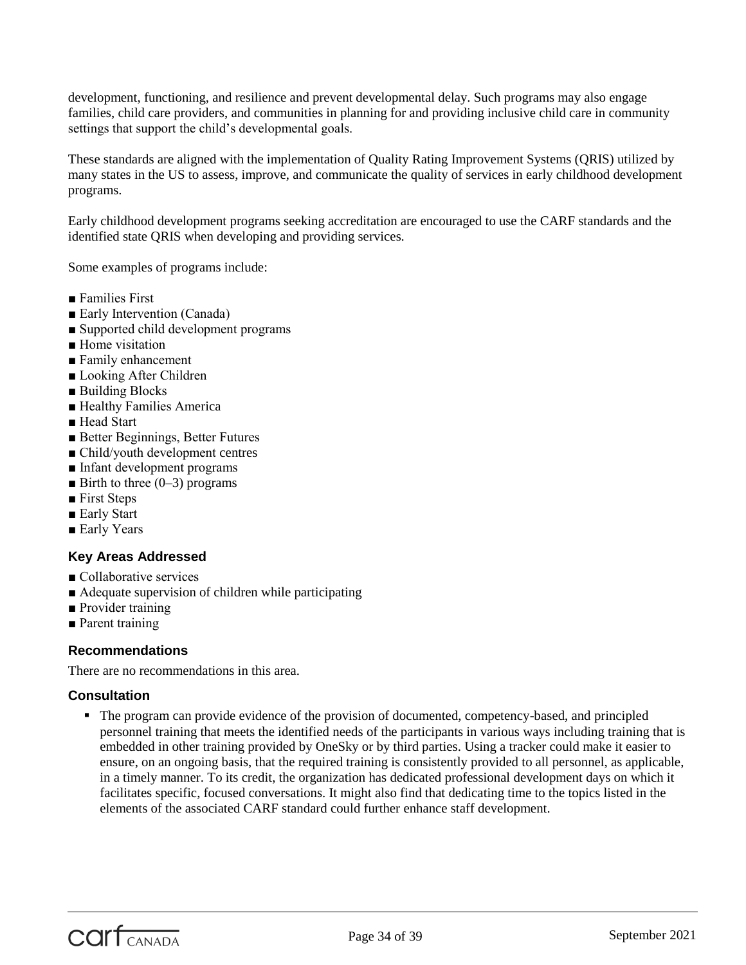development, functioning, and resilience and prevent developmental delay. Such programs may also engage families, child care providers, and communities in planning for and providing inclusive child care in community settings that support the child's developmental goals.

These standards are aligned with the implementation of Quality Rating Improvement Systems (QRIS) utilized by many states in the US to assess, improve, and communicate the quality of services in early childhood development programs.

Early childhood development programs seeking accreditation are encouraged to use the CARF standards and the identified state QRIS when developing and providing services.

Some examples of programs include:

- Families First
- Early Intervention (Canada)
- Supported child development programs
- Home visitation
- Family enhancement
- Looking After Children
- Building Blocks
- Healthy Families America
- Head Start
- Better Beginnings, Better Futures
- Child/youth development centres
- Infant development programs
- $\blacksquare$  Birth to three (0–3) programs
- First Steps
- Early Start
- Early Years

# **Key Areas Addressed**

- Collaborative services
- Adequate supervision of children while participating
- Provider training
- Parent training

# **Recommendations**

There are no recommendations in this area.

# **Consultation**

 The program can provide evidence of the provision of documented, competency-based, and principled personnel training that meets the identified needs of the participants in various ways including training that is embedded in other training provided by OneSky or by third parties. Using a tracker could make it easier to ensure, on an ongoing basis, that the required training is consistently provided to all personnel, as applicable, in a timely manner. To its credit, the organization has dedicated professional development days on which it facilitates specific, focused conversations. It might also find that dedicating time to the topics listed in the elements of the associated CARF standard could further enhance staff development.

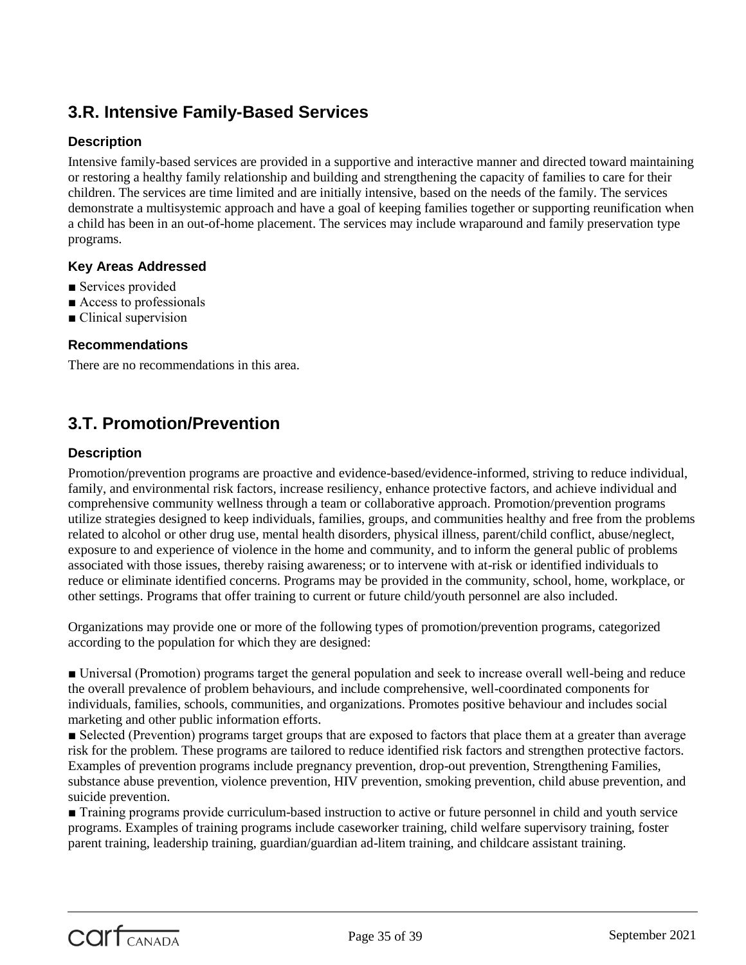# **3.R. Intensive Family-Based Services**

# **Description**

Intensive family-based services are provided in a supportive and interactive manner and directed toward maintaining or restoring a healthy family relationship and building and strengthening the capacity of families to care for their children. The services are time limited and are initially intensive, based on the needs of the family. The services demonstrate a multisystemic approach and have a goal of keeping families together or supporting reunification when a child has been in an out-of-home placement. The services may include wraparound and family preservation type programs.

# **Key Areas Addressed**

- Services provided
- Access to professionals
- Clinical supervision

# **Recommendations**

There are no recommendations in this area.

# **3.T. Promotion/Prevention**

# **Description**

Promotion/prevention programs are proactive and evidence-based/evidence-informed, striving to reduce individual, family, and environmental risk factors, increase resiliency, enhance protective factors, and achieve individual and comprehensive community wellness through a team or collaborative approach. Promotion/prevention programs utilize strategies designed to keep individuals, families, groups, and communities healthy and free from the problems related to alcohol or other drug use, mental health disorders, physical illness, parent/child conflict, abuse/neglect, exposure to and experience of violence in the home and community, and to inform the general public of problems associated with those issues, thereby raising awareness; or to intervene with at-risk or identified individuals to reduce or eliminate identified concerns. Programs may be provided in the community, school, home, workplace, or other settings. Programs that offer training to current or future child/youth personnel are also included.

Organizations may provide one or more of the following types of promotion/prevention programs, categorized according to the population for which they are designed:

■ Universal (Promotion) programs target the general population and seek to increase overall well-being and reduce the overall prevalence of problem behaviours, and include comprehensive, well-coordinated components for individuals, families, schools, communities, and organizations. Promotes positive behaviour and includes social marketing and other public information efforts.

■ Selected (Prevention) programs target groups that are exposed to factors that place them at a greater than average risk for the problem. These programs are tailored to reduce identified risk factors and strengthen protective factors. Examples of prevention programs include pregnancy prevention, drop-out prevention, Strengthening Families, substance abuse prevention, violence prevention, HIV prevention, smoking prevention, child abuse prevention, and suicide prevention.

■ Training programs provide curriculum-based instruction to active or future personnel in child and youth service programs. Examples of training programs include caseworker training, child welfare supervisory training, foster parent training, leadership training, guardian/guardian ad-litem training, and childcare assistant training.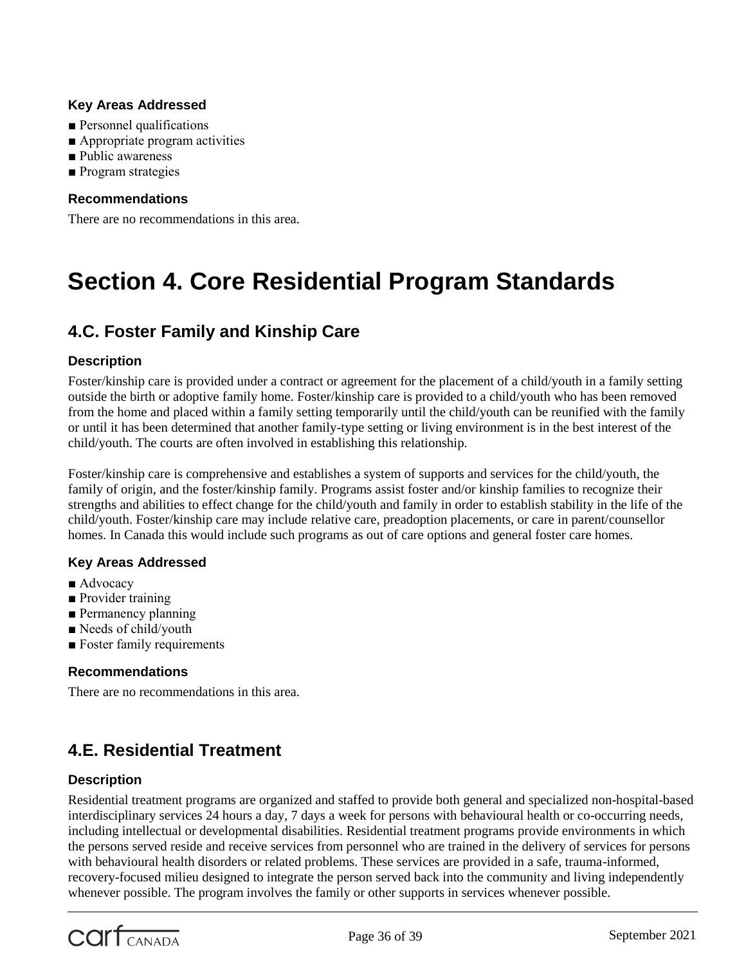# **Key Areas Addressed**

- Personnel qualifications
- Appropriate program activities
- Public awareness
- Program strategies

# **Recommendations**

There are no recommendations in this area.

# **Section 4. Core Residential Program Standards**

# **4.C. Foster Family and Kinship Care**

# **Description**

Foster/kinship care is provided under a contract or agreement for the placement of a child/youth in a family setting outside the birth or adoptive family home. Foster/kinship care is provided to a child/youth who has been removed from the home and placed within a family setting temporarily until the child/youth can be reunified with the family or until it has been determined that another family-type setting or living environment is in the best interest of the child/youth. The courts are often involved in establishing this relationship.

Foster/kinship care is comprehensive and establishes a system of supports and services for the child/youth, the family of origin, and the foster/kinship family. Programs assist foster and/or kinship families to recognize their strengths and abilities to effect change for the child/youth and family in order to establish stability in the life of the child/youth. Foster/kinship care may include relative care, preadoption placements, or care in parent/counsellor homes. In Canada this would include such programs as out of care options and general foster care homes.

# **Key Areas Addressed**

- Advocacy
- Provider training
- Permanency planning
- Needs of child/youth
- Foster family requirements

# **Recommendations**

There are no recommendations in this area.

# **4.E. Residential Treatment**

# **Description**

Residential treatment programs are organized and staffed to provide both general and specialized non-hospital-based interdisciplinary services 24 hours a day, 7 days a week for persons with behavioural health or co-occurring needs, including intellectual or developmental disabilities. Residential treatment programs provide environments in which the persons served reside and receive services from personnel who are trained in the delivery of services for persons with behavioural health disorders or related problems. These services are provided in a safe, trauma-informed, recovery-focused milieu designed to integrate the person served back into the community and living independently whenever possible. The program involves the family or other supports in services whenever possible.

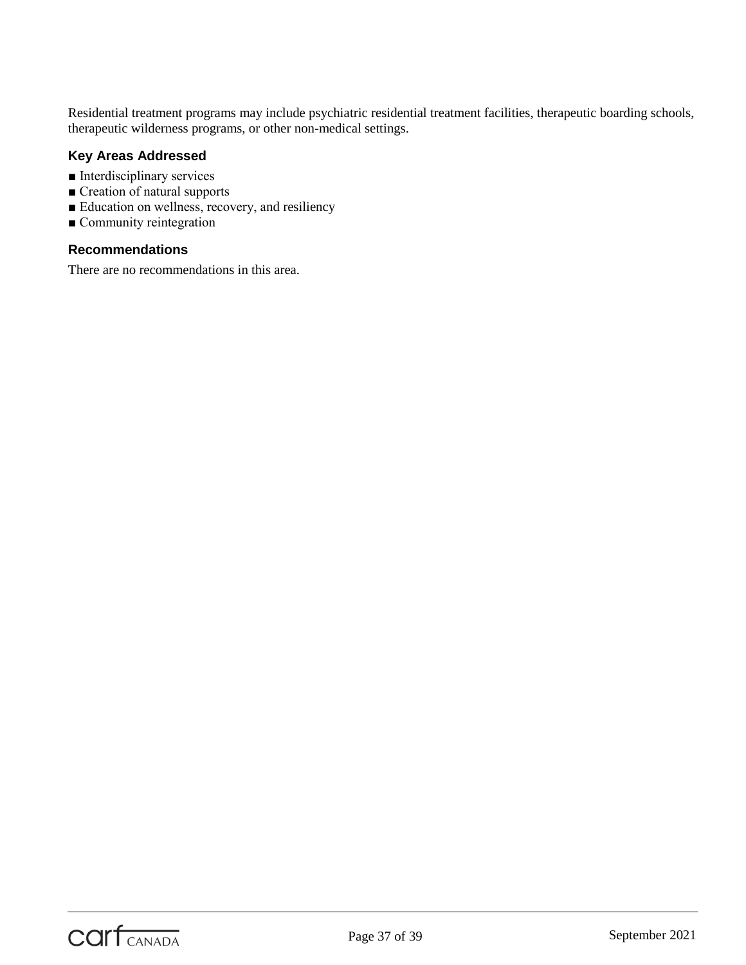Residential treatment programs may include psychiatric residential treatment facilities, therapeutic boarding schools, therapeutic wilderness programs, or other non-medical settings.

# **Key Areas Addressed**

- Interdisciplinary services
- Creation of natural supports
- Education on wellness, recovery, and resiliency
- Community reintegration

#### **Recommendations**

There are no recommendations in this area.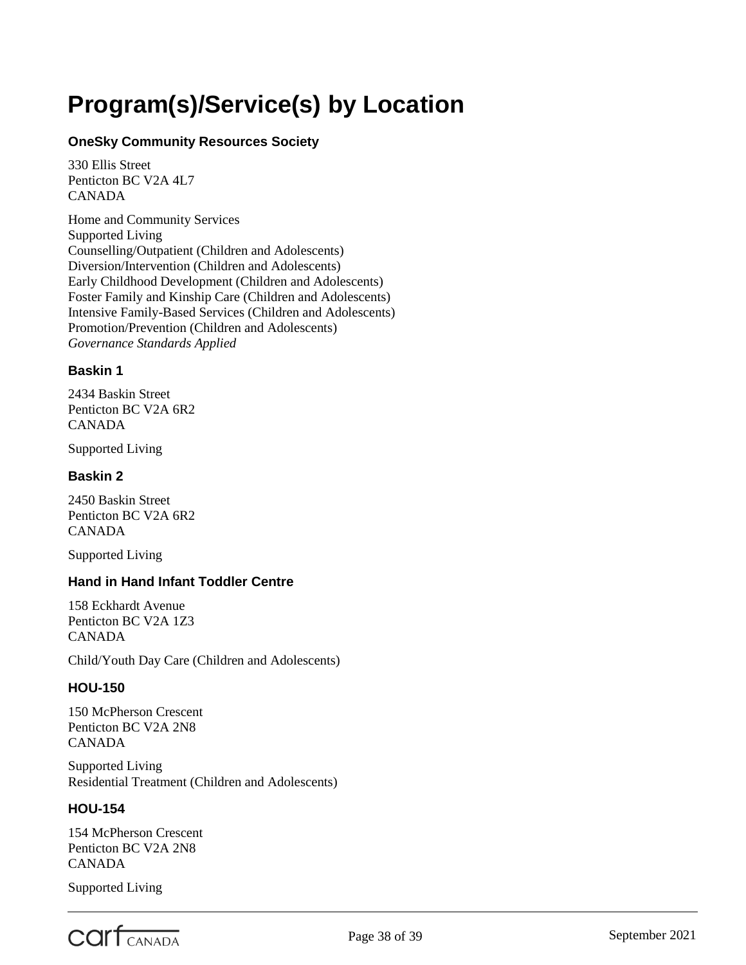# <span id="page-37-0"></span>**Program(s)/Service(s) by Location**

# **OneSky Community Resources Society**

330 Ellis Street Penticton BC V2A 4L7 CANADA

Home and Community Services Supported Living Counselling/Outpatient (Children and Adolescents) Diversion/Intervention (Children and Adolescents) Early Childhood Development (Children and Adolescents) Foster Family and Kinship Care (Children and Adolescents) Intensive Family-Based Services (Children and Adolescents) Promotion/Prevention (Children and Adolescents) *Governance Standards Applied*

# **Baskin 1**

2434 Baskin Street Penticton BC V2A 6R2 CANADA

Supported Living

# **Baskin 2**

2450 Baskin Street Penticton BC V2A 6R2 CANADA

Supported Living

# **Hand in Hand Infant Toddler Centre**

158 Eckhardt Avenue Penticton BC V2A 1Z3 CANADA

Child/Youth Day Care (Children and Adolescents)

# **HOU-150**

150 McPherson Crescent Penticton BC V2A 2N8 CANADA

Supported Living Residential Treatment (Children and Adolescents)

# **HOU-154**

154 McPherson Crescent Penticton BC V2A 2N8 CANADA

Supported Living